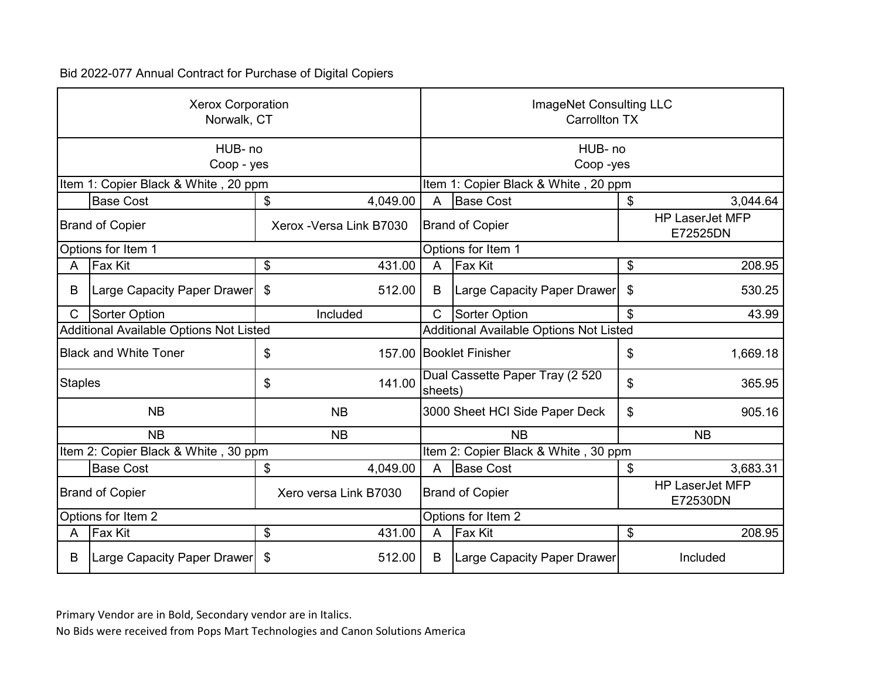|                                                 | <b>Xerox Corporation</b><br>Norwalk, CT |    |                          |                                            | ImageNet Consulting LLC<br><b>Carrollton TX</b> |                                    |                                    |  |
|-------------------------------------------------|-----------------------------------------|----|--------------------------|--------------------------------------------|-------------------------------------------------|------------------------------------|------------------------------------|--|
|                                                 | HUB-no<br>Coop - yes                    |    |                          | HUB-no<br>Coop-yes                         |                                                 |                                    |                                    |  |
|                                                 | Item 1: Copier Black & White, 20 ppm    |    |                          | Item 1: Copier Black & White, 20 ppm       |                                                 |                                    |                                    |  |
|                                                 | <b>Base Cost</b>                        | \$ | 4,049.00                 | A                                          | <b>Base Cost</b>                                | \$                                 | 3,044.64                           |  |
| <b>Brand of Copier</b>                          |                                         |    | Xerox - Versa Link B7030 | <b>Brand of Copier</b>                     |                                                 |                                    | <b>HP LaserJet MFP</b><br>E72525DN |  |
|                                                 | Options for Item 1                      |    |                          |                                            | Options for Item 1                              |                                    |                                    |  |
| A                                               | <b>Fax Kit</b>                          | \$ | 431.00                   | $\mathsf{A}$                               | <b>Fax Kit</b>                                  | \$                                 | 208.95                             |  |
| B                                               | Large Capacity Paper Drawer             | \$ | 512.00                   | B                                          | Large Capacity Paper Drawer                     | \$                                 | 530.25                             |  |
| $\mathsf{C}$                                    | Sorter Option                           |    | Included                 | $\mathsf{C}$                               | Sorter Option                                   | \$                                 | 43.99                              |  |
|                                                 | Additional Available Options Not Listed |    |                          |                                            | Additional Available Options Not Listed         |                                    |                                    |  |
|                                                 | <b>Black and White Toner</b>            | \$ |                          | 157.00 Booklet Finisher                    |                                                 | \$                                 | 1,669.18                           |  |
| <b>Staples</b>                                  |                                         | \$ | 141.00                   | Dual Cassette Paper Tray (2 520<br>sheets) |                                                 | \$                                 | 365.95                             |  |
|                                                 | <b>NB</b>                               |    | <b>NB</b>                |                                            | 3000 Sheet HCI Side Paper Deck                  | \$                                 | 905.16                             |  |
|                                                 | <b>NB</b>                               |    | <b>NB</b>                |                                            | <b>NB</b>                                       |                                    | <b>NB</b>                          |  |
|                                                 | Item 2: Copier Black & White, 30 ppm    |    |                          |                                            | Item 2: Copier Black & White, 30 ppm            |                                    |                                    |  |
|                                                 | <b>Base Cost</b>                        | \$ | 4,049.00                 | A                                          | <b>Base Cost</b>                                | \$                                 | 3,683.31                           |  |
| <b>Brand of Copier</b><br>Xero versa Link B7030 |                                         |    |                          | <b>Brand of Copier</b>                     |                                                 | <b>HP LaserJet MFP</b><br>E72530DN |                                    |  |
| Options for Item 2                              |                                         |    |                          | Options for Item 2                         |                                                 |                                    |                                    |  |
| A                                               | Fax Kit                                 | \$ | 431.00                   | A                                          | <b>Fax Kit</b>                                  | \$                                 | 208.95                             |  |
| B                                               | Large Capacity Paper Drawer             | \$ | 512.00                   | B                                          | <b>Large Capacity Paper Drawer</b>              |                                    | Included                           |  |

Primary Vendor are in Bold, Secondary vendor are in Italics.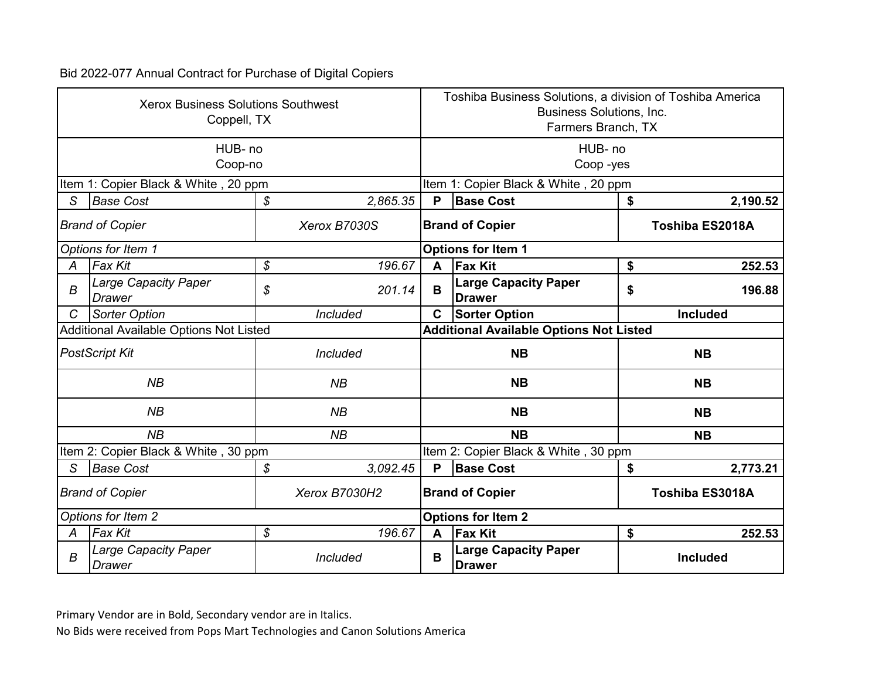|                                         | <b>Xerox Business Solutions Southwest</b><br>Coppell, TX<br>HUB-no |                |                        | Toshiba Business Solutions, a division of Toshiba America<br><b>Business Solutions, Inc.</b><br>Farmers Branch, TX |                        |  |  |  |
|-----------------------------------------|--------------------------------------------------------------------|----------------|------------------------|--------------------------------------------------------------------------------------------------------------------|------------------------|--|--|--|
|                                         | Coop-no                                                            |                | HUB- no<br>Coop-yes    |                                                                                                                    |                        |  |  |  |
|                                         | Item 1: Copier Black & White, 20 ppm                               |                |                        | Item 1: Copier Black & White, 20 ppm                                                                               |                        |  |  |  |
| S                                       | <b>Base Cost</b>                                                   | 2,865.35<br>\$ | P                      | <b>Base Cost</b>                                                                                                   | \$<br>2,190.52         |  |  |  |
| <b>Brand of Copier</b>                  |                                                                    | Xerox B7030S   |                        | <b>Brand of Copier</b>                                                                                             | <b>Toshiba ES2018A</b> |  |  |  |
|                                         | Options for Item 1                                                 |                |                        | <b>Options for Item 1</b>                                                                                          |                        |  |  |  |
| A                                       | <b>Fax Kit</b>                                                     | \$<br>196.67   | A                      | <b>Fax Kit</b>                                                                                                     | \$<br>252.53           |  |  |  |
| $\boldsymbol{B}$                        | <b>Large Capacity Paper</b><br><b>Drawer</b>                       | \$<br>201.14   | B                      | <b>Large Capacity Paper</b><br><b>Drawer</b>                                                                       | \$<br>196.88           |  |  |  |
| $\mathcal{C}$                           | <b>Sorter Option</b>                                               | Included       | $\mathbf c$            | <b>Sorter Option</b>                                                                                               | <b>Included</b>        |  |  |  |
|                                         | Additional Available Options Not Listed                            |                |                        | <b>Additional Available Options Not Listed</b>                                                                     |                        |  |  |  |
|                                         | <b>PostScript Kit</b>                                              | Included       |                        | <b>NB</b>                                                                                                          | <b>NB</b>              |  |  |  |
|                                         | NB                                                                 | NB             |                        | <b>NB</b>                                                                                                          | <b>NB</b>              |  |  |  |
|                                         | NB                                                                 | NB             |                        | <b>NB</b>                                                                                                          | <b>NB</b>              |  |  |  |
|                                         | NB                                                                 | NB             |                        | <b>NB</b>                                                                                                          | <b>NB</b>              |  |  |  |
|                                         | Item 2: Copier Black & White, 30 ppm                               |                |                        | Item 2: Copier Black & White, 30 ppm                                                                               |                        |  |  |  |
| S                                       | <b>Base Cost</b>                                                   | \$<br>3,092.45 | P                      | <b>Base Cost</b>                                                                                                   | \$<br>2,773.21         |  |  |  |
| Xerox B7030H2<br><b>Brand of Copier</b> |                                                                    |                | <b>Brand of Copier</b> | Toshiba ES3018A                                                                                                    |                        |  |  |  |
| Options for Item 2                      |                                                                    |                |                        | <b>Options for Item 2</b>                                                                                          |                        |  |  |  |
| A                                       | Fax Kit                                                            | \$<br>196.67   | A                      | <b>Fax Kit</b>                                                                                                     | \$<br>252.53           |  |  |  |
| B                                       | <b>Large Capacity Paper</b><br><b>Drawer</b>                       | Included       | B                      | <b>Large Capacity Paper</b><br><b>Drawer</b>                                                                       | <b>Included</b>        |  |  |  |

Primary Vendor are in Bold, Secondary vendor are in Italics.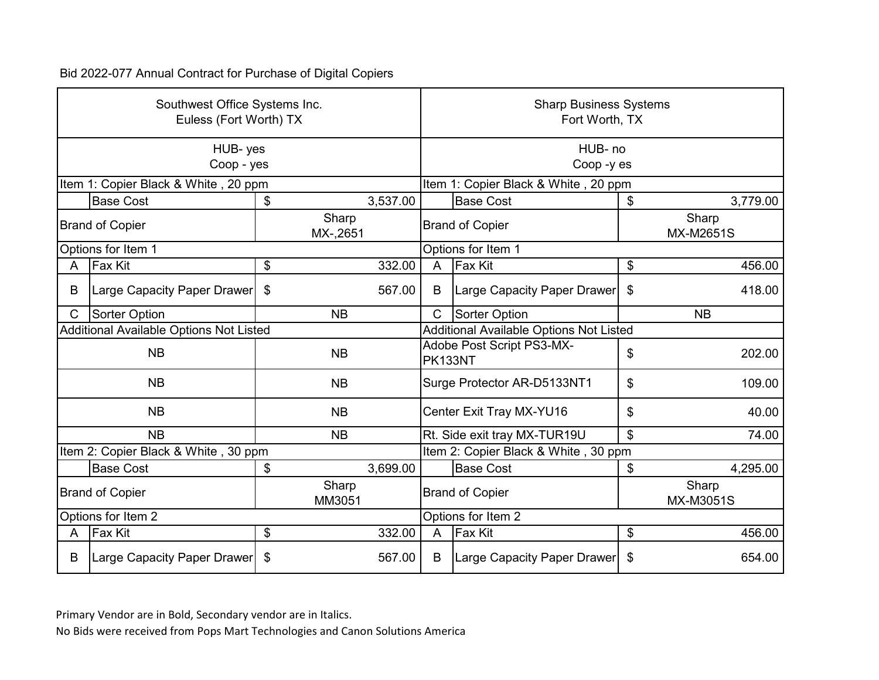|                        | Southwest Office Systems Inc.<br>Euless (Fort Worth) TX |    |                    |                                      | <b>Sharp Business Systems</b><br>Fort Worth, TX |    |                           |  |
|------------------------|---------------------------------------------------------|----|--------------------|--------------------------------------|-------------------------------------------------|----|---------------------------|--|
|                        | HUB-yes<br>Coop - yes                                   |    |                    | HUB-no<br>Coop -y es                 |                                                 |    |                           |  |
|                        | Item 1: Copier Black & White, 20 ppm                    |    |                    | Item 1: Copier Black & White, 20 ppm |                                                 |    |                           |  |
|                        | <b>Base Cost</b>                                        | \$ | 3,537.00           |                                      | <b>Base Cost</b>                                | \$ | 3,779.00                  |  |
|                        | <b>Brand of Copier</b>                                  |    | Sharp<br>MX-,2651  | <b>Brand of Copier</b>               |                                                 |    | Sharp<br><b>MX-M2651S</b> |  |
| Options for Item 1     |                                                         |    |                    | Options for Item 1                   |                                                 |    |                           |  |
| A                      | <b>Fax Kit</b>                                          | \$ | 332.00             | A                                    | <b>Fax Kit</b>                                  | \$ | 456.00                    |  |
| B                      | Large Capacity Paper Drawer                             | \$ | 567.00             | B                                    | Large Capacity Paper Drawer                     | \$ | 418.00                    |  |
| C                      | <b>Sorter Option</b>                                    |    | NB                 | $\mathsf{C}$                         | Sorter Option                                   |    | <b>NB</b>                 |  |
|                        | Additional Available Options Not Listed                 |    |                    |                                      | <b>Additional Available Options Not Listed</b>  |    |                           |  |
|                        | <b>NB</b>                                               |    | <b>NB</b>          | Adobe Post Script PS3-MX-<br>PK133NT |                                                 | \$ | 202.00                    |  |
|                        | <b>NB</b>                                               |    | <b>NB</b>          |                                      | Surge Protector AR-D5133NT1                     | \$ | 109.00                    |  |
|                        | <b>NB</b>                                               |    | <b>NB</b>          |                                      | Center Exit Tray MX-YU16                        | \$ | 40.00                     |  |
|                        | <b>NB</b>                                               |    | <b>NB</b>          |                                      | Rt. Side exit tray MX-TUR19U                    | \$ | 74.00                     |  |
|                        | Item 2: Copier Black & White, 30 ppm                    |    |                    |                                      | Item 2: Copier Black & White, 30 ppm            |    |                           |  |
|                        | <b>Base Cost</b>                                        | \$ | 3,699.00           |                                      | <b>Base Cost</b>                                | \$ | 4,295.00                  |  |
| <b>Brand of Copier</b> |                                                         |    | Sharp<br>MM3051    |                                      | <b>Brand of Copier</b>                          |    | Sharp<br><b>MX-M3051S</b> |  |
| Options for Item 2     |                                                         |    | Options for Item 2 |                                      |                                                 |    |                           |  |
| A                      | <b>Fax Kit</b>                                          | \$ | 332.00             | $\overline{A}$                       | <b>Fax Kit</b>                                  | \$ | 456.00                    |  |
| B                      | Large Capacity Paper Drawer                             | \$ | 567.00             | B                                    | Large Capacity Paper Drawer                     | \$ | 654.00                    |  |

Primary Vendor are in Bold, Secondary vendor are in Italics.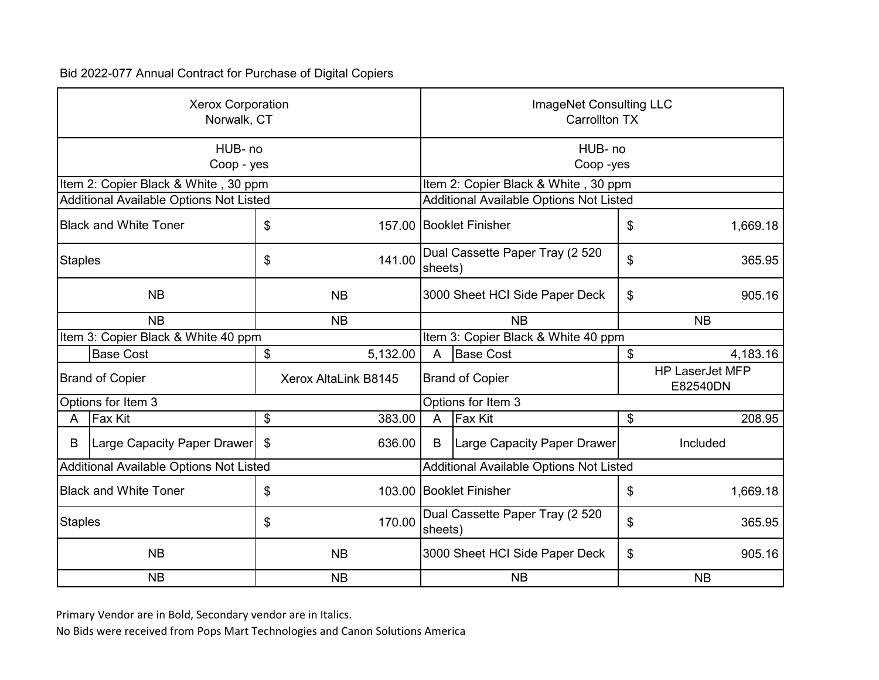|                              | <b>Xerox Corporation</b><br>Norwalk, CT |           |                      | ImageNet Consulting LLC<br><b>Carrollton TX</b> |                                                |           |                                    |  |
|------------------------------|-----------------------------------------|-----------|----------------------|-------------------------------------------------|------------------------------------------------|-----------|------------------------------------|--|
|                              | HUB-no<br>Coop - yes                    |           |                      | HUB- no<br>Coop-yes                             |                                                |           |                                    |  |
|                              | Item 2: Copier Black & White, 30 ppm    |           |                      |                                                 | Item 2: Copier Black & White, 30 ppm           |           |                                    |  |
|                              | Additional Available Options Not Listed |           |                      |                                                 | <b>Additional Available Options Not Listed</b> |           |                                    |  |
| <b>Black and White Toner</b> |                                         | \$        |                      |                                                 | 157.00 Booklet Finisher                        | \$        | 1,669.18                           |  |
| <b>Staples</b>               |                                         | \$        | 141.00               | Dual Cassette Paper Tray (2 520<br>sheets)      |                                                | \$        | 365.95                             |  |
| <b>NB</b>                    |                                         |           | <b>NB</b>            | 3000 Sheet HCI Side Paper Deck                  |                                                | \$        | 905.16                             |  |
| <b>NB</b>                    |                                         | <b>NB</b> |                      | <b>NB</b>                                       |                                                | <b>NB</b> |                                    |  |
|                              | Item 3: Copier Black & White 40 ppm     |           |                      |                                                 | Item 3: Copier Black & White 40 ppm            |           |                                    |  |
|                              | <b>Base Cost</b>                        | \$        | 5,132.00             | $\overline{A}$                                  | <b>Base Cost</b>                               | \$        | 4,183.16                           |  |
|                              | <b>Brand of Copier</b>                  |           | Xerox AltaLink B8145 |                                                 | <b>Brand of Copier</b>                         |           | <b>HP LaserJet MFP</b><br>E82540DN |  |
|                              | Options for Item 3                      |           |                      | Options for Item 3                              |                                                |           |                                    |  |
| A                            | <b>Fax Kit</b>                          | \$        | 383.00               | $\overline{A}$                                  | <b>Fax Kit</b>                                 | \$        | 208.95                             |  |
| B                            | Large Capacity Paper Drawer             | \$        | 636.00               | B                                               | <b>Large Capacity Paper Drawer</b>             |           | Included                           |  |
|                              | Additional Available Options Not Listed |           |                      |                                                 | Additional Available Options Not Listed        |           |                                    |  |
|                              | <b>Black and White Toner</b>            | \$        |                      |                                                 | 103.00 Booklet Finisher                        | \$        | 1,669.18                           |  |
| <b>Staples</b>               |                                         | \$        | 170.00               | Dual Cassette Paper Tray (2 520<br>sheets)      |                                                | \$        | 365.95                             |  |
| <b>NB</b>                    |                                         |           | <b>NB</b>            | 3000 Sheet HCI Side Paper Deck                  |                                                | \$        | 905.16                             |  |
|                              | <b>NB</b>                               |           | <b>NB</b>            |                                                 | <b>NB</b>                                      |           | <b>NB</b>                          |  |

Primary Vendor are in Bold, Secondary vendor are in Italics.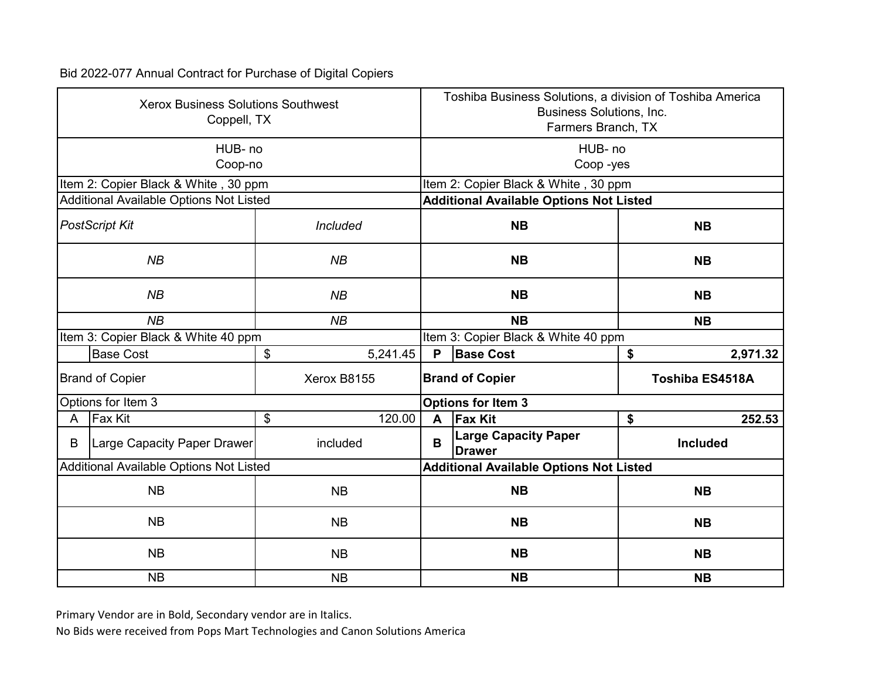|                        | <b>Xerox Business Solutions Southwest</b><br>Coppell, TX |                 | Toshiba Business Solutions, a division of Toshiba America<br><b>Business Solutions, Inc.</b><br>Farmers Branch, TX |                                                |                        |  |  |
|------------------------|----------------------------------------------------------|-----------------|--------------------------------------------------------------------------------------------------------------------|------------------------------------------------|------------------------|--|--|
|                        | HUB-no<br>Coop-no                                        |                 | HUB-no<br>Coop-yes                                                                                                 |                                                |                        |  |  |
|                        | Item 2: Copier Black & White, 30 ppm                     |                 |                                                                                                                    | Item 2: Copier Black & White, 30 ppm           |                        |  |  |
|                        | Additional Available Options Not Listed                  |                 |                                                                                                                    | <b>Additional Available Options Not Listed</b> |                        |  |  |
| <b>PostScript Kit</b>  |                                                          | <b>Included</b> |                                                                                                                    | <b>NB</b>                                      | <b>NB</b>              |  |  |
|                        | NB                                                       | NB              |                                                                                                                    | <b>NB</b>                                      | <b>NB</b>              |  |  |
|                        | NB                                                       | NB              | <b>NB</b>                                                                                                          |                                                | <b>NB</b>              |  |  |
|                        | NB                                                       | NB              |                                                                                                                    | <b>NB</b>                                      | <b>NB</b>              |  |  |
|                        | Item 3: Copier Black & White 40 ppm                      |                 |                                                                                                                    | Item 3: Copier Black & White 40 ppm            |                        |  |  |
|                        | <b>Base Cost</b>                                         | \$<br>5,241.45  | P                                                                                                                  | <b>Base Cost</b>                               | \$<br>2,971.32         |  |  |
|                        | <b>Brand of Copier</b>                                   | Xerox B8155     | <b>Brand of Copier</b>                                                                                             |                                                | <b>Toshiba ES4518A</b> |  |  |
|                        | Options for Item 3                                       |                 | <b>Options for Item 3</b>                                                                                          |                                                |                        |  |  |
| A                      | <b>Fax Kit</b>                                           | \$<br>120.00    | $\mathbf{A}$                                                                                                       | <b>Fax Kit</b>                                 | 252.53<br>\$           |  |  |
| B                      | Large Capacity Paper Drawer                              | included        | B                                                                                                                  | <b>Large Capacity Paper</b><br><b>Drawer</b>   | <b>Included</b>        |  |  |
|                        | Additional Available Options Not Listed                  |                 |                                                                                                                    | <b>Additional Available Options Not Listed</b> |                        |  |  |
|                        | <b>NB</b>                                                | <b>NB</b>       |                                                                                                                    | <b>NB</b>                                      | <b>NB</b>              |  |  |
| <b>NB</b><br><b>NB</b> |                                                          |                 |                                                                                                                    | <b>NB</b>                                      | <b>NB</b>              |  |  |
|                        | <b>NB</b>                                                | <b>NB</b>       | <b>NB</b>                                                                                                          |                                                | <b>NB</b>              |  |  |
|                        | <b>NB</b>                                                | <b>NB</b>       |                                                                                                                    | <b>NB</b><br><b>NB</b>                         |                        |  |  |

Primary Vendor are in Bold, Secondary vendor are in Italics.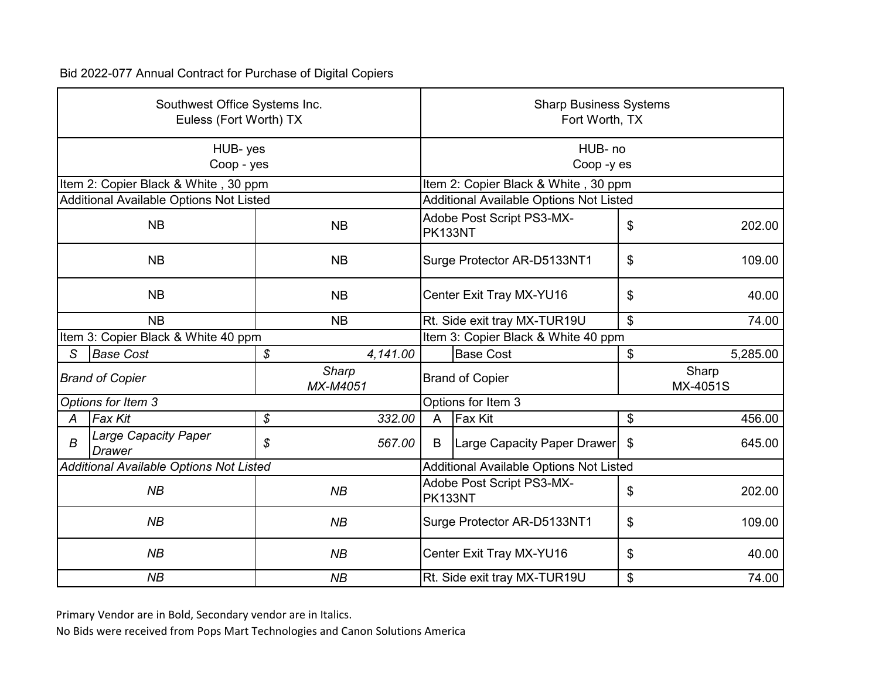|                | Southwest Office Systems Inc.<br>Euless (Fort Worth) TX |                   |                                         | <b>Sharp Business Systems</b><br>Fort Worth, TX |        |                   |  |
|----------------|---------------------------------------------------------|-------------------|-----------------------------------------|-------------------------------------------------|--------|-------------------|--|
|                | HUB-yes<br>Coop - yes                                   |                   | HUB-no<br>Coop -y es                    |                                                 |        |                   |  |
|                | Item 2: Copier Black & White, 30 ppm                    |                   |                                         | Item 2: Copier Black & White, 30 ppm            |        |                   |  |
|                | Additional Available Options Not Listed                 |                   | Additional Available Options Not Listed |                                                 |        |                   |  |
| <b>NB</b>      |                                                         | <b>NB</b>         | PK133NT                                 | Adobe Post Script PS3-MX-                       | \$     | 202.00            |  |
| <b>NB</b>      |                                                         | <b>NB</b>         |                                         | Surge Protector AR-D5133NT1                     | \$     | 109.00            |  |
| <b>NB</b>      |                                                         | <b>NB</b>         |                                         | Center Exit Tray MX-YU16                        |        | 40.00             |  |
|                | <b>NB</b><br><b>NB</b>                                  |                   |                                         | Rt. Side exit tray MX-TUR19U                    | \$     | 74.00             |  |
|                | Item 3: Copier Black & White 40 ppm                     |                   | Item 3: Copier Black & White 40 ppm     |                                                 |        |                   |  |
| S              | <b>Base Cost</b>                                        | \$<br>4,141.00    |                                         | <b>Base Cost</b>                                | \$     | 5,285.00          |  |
|                | <b>Brand of Copier</b>                                  | Sharp<br>MX-M4051 | <b>Brand of Copier</b>                  |                                                 |        | Sharp<br>MX-4051S |  |
|                | Options for Item 3                                      |                   | Options for Item 3                      |                                                 |        |                   |  |
| A              | <b>Fax Kit</b>                                          | \$<br>332.00      | $\overline{A}$                          | <b>Fax Kit</b>                                  | \$     | 456.00            |  |
| $\overline{B}$ | <b>Large Capacity Paper</b><br><b>Drawer</b>            | \$<br>567.00      | B                                       | Large Capacity Paper Drawer                     | \$     | 645.00            |  |
|                | <b>Additional Available Options Not Listed</b>          |                   |                                         | Additional Available Options Not Listed         |        |                   |  |
|                | NB<br>NB                                                |                   | PK133NT                                 | Adobe Post Script PS3-MX-                       | \$     | 202.00            |  |
| NB<br>NB       |                                                         |                   | Surge Protector AR-D5133NT1             |                                                 | 109.00 |                   |  |
| NB<br>NB       |                                                         |                   |                                         | Center Exit Tray MX-YU16                        |        | 40.00             |  |
|                | NB                                                      | NB                |                                         | Rt. Side exit tray MX-TUR19U                    | \$     | 74.00             |  |

Primary Vendor are in Bold, Secondary vendor are in Italics.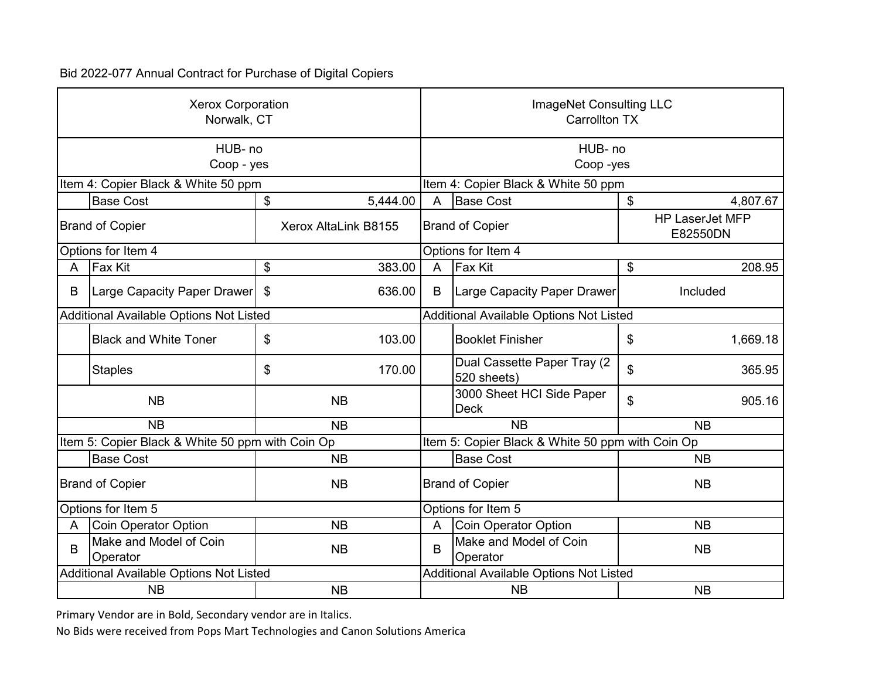|                        | <b>Xerox Corporation</b><br>Norwalk, CT          |           |                      | ImageNet Consulting LLC<br><b>Carrollton TX</b> |                                                  |           |                                    |
|------------------------|--------------------------------------------------|-----------|----------------------|-------------------------------------------------|--------------------------------------------------|-----------|------------------------------------|
|                        | HUB-no<br>Coop - yes                             |           |                      | HUB-no<br>Coop-yes                              |                                                  |           |                                    |
|                        | Item 4: Copier Black & White 50 ppm              |           |                      | Item 4: Copier Black & White 50 ppm             |                                                  |           |                                    |
| \$<br><b>Base Cost</b> |                                                  | 5,444.00  | A                    | <b>Base Cost</b>                                | \$                                               | 4,807.67  |                                    |
|                        | <b>Brand of Copier</b>                           |           | Xerox AltaLink B8155 |                                                 | <b>Brand of Copier</b>                           |           | <b>HP LaserJet MFP</b><br>E82550DN |
| Options for Item 4     |                                                  |           |                      | Options for Item 4                              |                                                  |           |                                    |
| A                      | <b>Fax Kit</b>                                   | \$        | 383.00               | A                                               | <b>Fax Kit</b>                                   | \$        | 208.95                             |
| B                      | Large Capacity Paper Drawer                      | \$        | 636.00               | B                                               | Large Capacity Paper Drawer                      |           | Included                           |
|                        | Additional Available Options Not Listed          |           |                      |                                                 | Additional Available Options Not Listed          |           |                                    |
|                        | <b>Black and White Toner</b>                     | \$        | 103.00               |                                                 | <b>Booklet Finisher</b>                          | \$        | 1,669.18                           |
|                        | <b>Staples</b>                                   | \$        | 170.00               |                                                 | Dual Cassette Paper Tray (2<br>520 sheets)       | \$        | 365.95                             |
|                        | <b>NB</b>                                        | <b>NB</b> |                      |                                                 | 3000 Sheet HCI Side Paper<br><b>Deck</b>         | \$        | 905.16                             |
|                        | <b>NB</b>                                        |           | <b>NB</b>            |                                                 | <b>NB</b>                                        | <b>NB</b> |                                    |
|                        | Item 5: Copier Black & White 50 ppm with Coin Op |           |                      |                                                 | Item 5: Copier Black & White 50 ppm with Coin Op |           |                                    |
|                        | <b>Base Cost</b>                                 |           | <b>NB</b>            |                                                 | <b>Base Cost</b>                                 |           | <b>NB</b>                          |
|                        | <b>Brand of Copier</b>                           |           | <b>NB</b>            |                                                 | <b>Brand of Copier</b>                           |           | <b>NB</b>                          |
|                        | Options for Item 5                               |           |                      |                                                 | Options for Item 5                               |           |                                    |
| A                      | <b>Coin Operator Option</b>                      |           | <b>NB</b>            | A                                               | <b>Coin Operator Option</b>                      |           | <b>NB</b>                          |
| B                      | Make and Model of Coin<br>Operator               |           | <b>NB</b>            | B                                               | Make and Model of Coin<br>Operator               |           | <b>NB</b>                          |
|                        | Additional Available Options Not Listed          |           |                      |                                                 | <b>Additional Available Options Not Listed</b>   |           |                                    |
|                        | <b>NB</b>                                        |           | <b>NB</b>            |                                                 | <b>NB</b>                                        |           | <b>NB</b>                          |

Primary Vendor are in Bold, Secondary vendor are in Italics.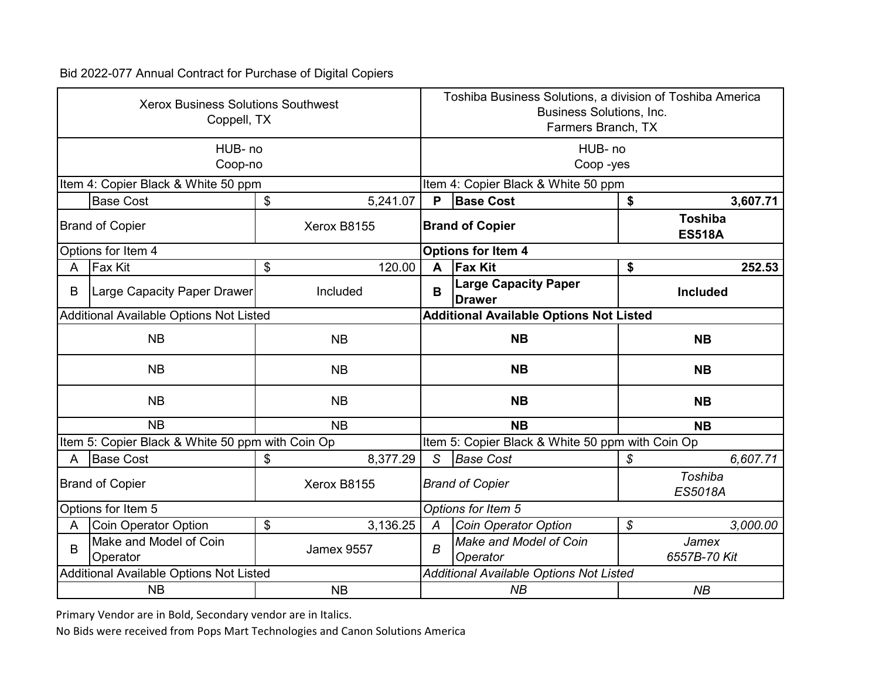|                        | <b>Xerox Business Solutions Southwest</b><br>Coppell, TX |                   |                                                | Toshiba Business Solutions, a division of Toshiba America<br><b>Business Solutions, Inc.</b><br>Farmers Branch, TX |               |                                 |  |  |
|------------------------|----------------------------------------------------------|-------------------|------------------------------------------------|--------------------------------------------------------------------------------------------------------------------|---------------|---------------------------------|--|--|
|                        | HUB-no<br>Coop-no                                        |                   | HUB-no<br>Coop-yes                             |                                                                                                                    |               |                                 |  |  |
|                        | Item 4: Copier Black & White 50 ppm                      |                   | Item 4: Copier Black & White 50 ppm            |                                                                                                                    |               |                                 |  |  |
|                        | <b>Base Cost</b>                                         | \$<br>5,241.07    | P                                              | <b>Base Cost</b>                                                                                                   | \$            | 3,607.71                        |  |  |
| <b>Brand of Copier</b> |                                                          | Xerox B8155       | <b>Brand of Copier</b>                         |                                                                                                                    |               | <b>Toshiba</b><br><b>ES518A</b> |  |  |
| Options for Item 4     |                                                          |                   |                                                | <b>Options for Item 4</b>                                                                                          |               |                                 |  |  |
| A                      | <b>Fax Kit</b>                                           | \$<br>120.00      | A                                              | <b>Fax Kit</b>                                                                                                     | \$            | 252.53                          |  |  |
| B                      | Large Capacity Paper Drawer                              | Included          | B                                              | <b>Large Capacity Paper</b><br><b>Drawer</b>                                                                       |               | <b>Included</b>                 |  |  |
|                        | Additional Available Options Not Listed                  |                   |                                                | <b>Additional Available Options Not Listed</b>                                                                     |               |                                 |  |  |
|                        | <b>NB</b><br><b>NB</b>                                   |                   |                                                | <b>NB</b>                                                                                                          |               | <b>NB</b>                       |  |  |
|                        | <b>NB</b>                                                | <b>NB</b>         | <b>NB</b>                                      |                                                                                                                    |               | <b>NB</b>                       |  |  |
|                        | <b>NB</b>                                                | <b>NB</b>         |                                                | <b>NB</b>                                                                                                          |               | <b>NB</b>                       |  |  |
|                        | <b>NB</b>                                                | <b>NB</b>         |                                                | <b>NB</b>                                                                                                          |               | <b>NB</b>                       |  |  |
|                        | Item 5: Copier Black & White 50 ppm with Coin Op         |                   |                                                | Item 5: Copier Black & White 50 ppm with Coin Op                                                                   |               |                                 |  |  |
| A                      | <b>Base Cost</b>                                         | \$<br>8,377.29    | S                                              | <b>Base Cost</b>                                                                                                   | \$            | 6,607.71                        |  |  |
|                        | <b>Brand of Copier</b>                                   | Xerox B8155       |                                                | <b>Brand of Copier</b>                                                                                             |               | Toshiba<br>ES5018A              |  |  |
|                        | Options for Item 5                                       |                   |                                                | Options for Item 5                                                                                                 |               |                                 |  |  |
| A                      | Coin Operator Option                                     | \$<br>3,136.25    | А                                              | <b>Coin Operator Option</b>                                                                                        | $\mathcal{S}$ | 3,000.00                        |  |  |
| B                      | Make and Model of Coin<br>Operator                       | <b>Jamex 9557</b> | B                                              | Make and Model of Coin<br>Operator                                                                                 |               | Jamex<br>6557B-70 Kit           |  |  |
|                        | Additional Available Options Not Listed                  |                   | <b>Additional Available Options Not Listed</b> |                                                                                                                    |               |                                 |  |  |
|                        | <b>NB</b>                                                | <b>NB</b>         |                                                | NB<br><b>NB</b>                                                                                                    |               |                                 |  |  |

Primary Vendor are in Bold, Secondary vendor are in Italics.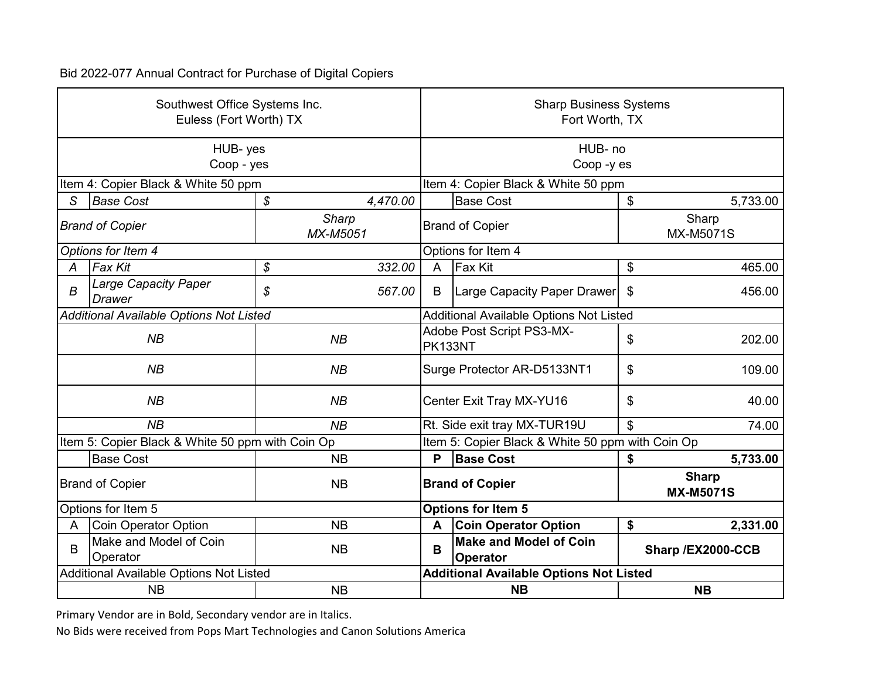|                                                    | Southwest Office Systems Inc.<br>Euless (Fort Worth) TX |                |                                                | <b>Sharp Business Systems</b><br>Fort Worth, TX  |                           |                                  |  |
|----------------------------------------------------|---------------------------------------------------------|----------------|------------------------------------------------|--------------------------------------------------|---------------------------|----------------------------------|--|
|                                                    | HUB-yes<br>Coop - yes                                   |                | HUB-no<br>Coop-yes                             |                                                  |                           |                                  |  |
|                                                    | Item 4: Copier Black & White 50 ppm                     |                |                                                | Item 4: Copier Black & White 50 ppm              |                           |                                  |  |
| S                                                  | <b>Base Cost</b>                                        | \$<br>4,470.00 |                                                | <b>Base Cost</b>                                 | \$                        | 5,733.00                         |  |
| <b>Sharp</b><br><b>Brand of Copier</b><br>MX-M5051 |                                                         |                | <b>Brand of Copier</b>                         |                                                  | Sharp<br><b>MX-M5071S</b> |                                  |  |
|                                                    | Options for Item 4                                      |                |                                                | Options for Item 4                               |                           |                                  |  |
| А                                                  | <b>Fax Kit</b>                                          | \$<br>332.00   | A                                              | <b>Fax Kit</b>                                   | \$                        | 465.00                           |  |
| B                                                  | <b>Large Capacity Paper</b><br><b>Drawer</b>            | \$<br>567.00   | B                                              | Large Capacity Paper Drawer                      | \$                        | 456.00                           |  |
|                                                    | Additional Available Options Not Listed                 |                | <b>Additional Available Options Not Listed</b> |                                                  |                           |                                  |  |
|                                                    | NB<br>NB                                                |                | PK133NT                                        | Adobe Post Script PS3-MX-                        | \$                        | 202.00                           |  |
|                                                    | NB                                                      | NB             | Surge Protector AR-D5133NT1                    |                                                  | \$                        | 109.00                           |  |
|                                                    | NB                                                      | NB             |                                                | Center Exit Tray MX-YU16                         | \$                        | 40.00                            |  |
|                                                    | NB                                                      | NB             |                                                | Rt. Side exit tray MX-TUR19U                     | 74.00                     |                                  |  |
|                                                    | Item 5: Copier Black & White 50 ppm with Coin Op        |                |                                                | Item 5: Copier Black & White 50 ppm with Coin Op |                           |                                  |  |
|                                                    | <b>Base Cost</b>                                        | <b>NB</b>      | P                                              | <b>Base Cost</b>                                 | \$                        | 5,733.00                         |  |
|                                                    | <b>Brand of Copier</b>                                  | <b>NB</b>      |                                                | <b>Brand of Copier</b>                           |                           | <b>Sharp</b><br><b>MX-M5071S</b> |  |
|                                                    | Options for Item 5                                      |                |                                                | <b>Options for Item 5</b>                        |                           |                                  |  |
| A                                                  | Coin Operator Option                                    | <b>NB</b>      | A                                              | <b>Coin Operator Option</b>                      | \$                        | 2,331.00                         |  |
| B                                                  | Make and Model of Coin<br>Operator                      | <b>NB</b>      | B                                              | <b>Make and Model of Coin</b><br><b>Operator</b> |                           | Sharp /EX2000-CCB                |  |
|                                                    | Additional Available Options Not Listed                 |                |                                                | <b>Additional Available Options Not Listed</b>   |                           |                                  |  |
|                                                    | <b>NB</b>                                               | <b>NB</b>      | <b>NB</b>                                      |                                                  |                           | <b>NB</b>                        |  |

Primary Vendor are in Bold, Secondary vendor are in Italics.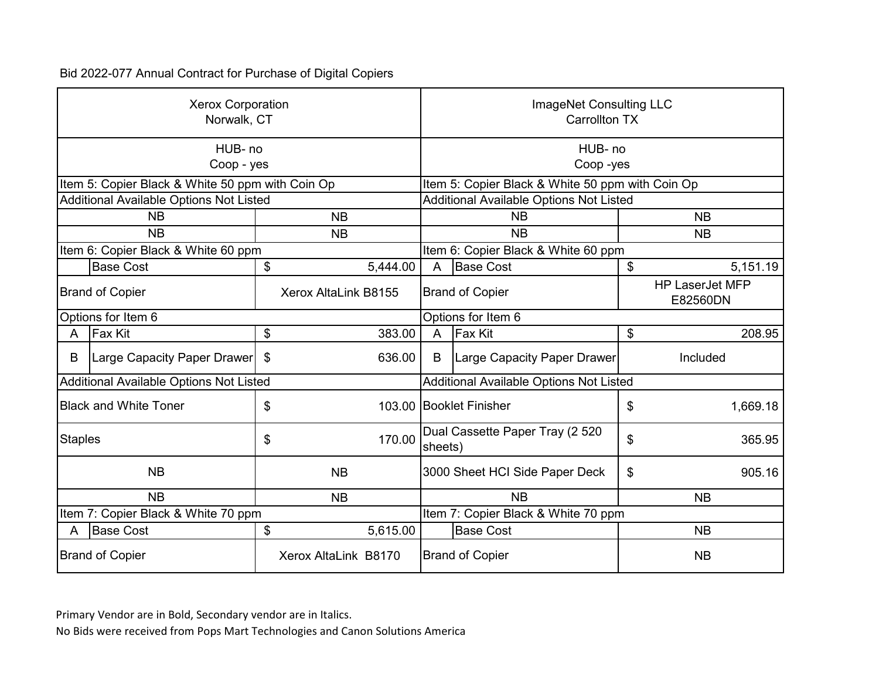|                                                | <b>Xerox Corporation</b><br>Norwalk, CT          |    |                        |                                                  | ImageNet Consulting LLC<br><b>Carrollton TX</b> |                                    |           |  |
|------------------------------------------------|--------------------------------------------------|----|------------------------|--------------------------------------------------|-------------------------------------------------|------------------------------------|-----------|--|
|                                                | HUB-no<br>Coop - yes                             |    |                        | HUB-no<br>Coop-yes                               |                                                 |                                    |           |  |
|                                                | Item 5: Copier Black & White 50 ppm with Coin Op |    |                        | Item 5: Copier Black & White 50 ppm with Coin Op |                                                 |                                    |           |  |
|                                                | Additional Available Options Not Listed          |    |                        |                                                  | Additional Available Options Not Listed         |                                    |           |  |
|                                                | <b>NB</b><br><b>NB</b>                           |    |                        |                                                  | <b>NB</b>                                       |                                    | <b>NB</b> |  |
| <b>NB</b><br><b>NB</b>                         |                                                  |    |                        |                                                  | <b>NB</b>                                       |                                    | <b>NB</b> |  |
|                                                | Item 6: Copier Black & White 60 ppm              |    |                        |                                                  | Item 6: Copier Black & White 60 ppm             |                                    |           |  |
|                                                | <b>Base Cost</b>                                 | \$ | 5,444.00               | $\overline{A}$                                   | <b>Base Cost</b>                                | \$                                 | 5,151.19  |  |
| <b>Brand of Copier</b><br>Xerox AltaLink B8155 |                                                  |    | <b>Brand of Copier</b> |                                                  |                                                 | <b>HP LaserJet MFP</b><br>E82560DN |           |  |
|                                                | Options for Item 6                               |    |                        |                                                  | Options for Item 6                              |                                    |           |  |
| A                                              | <b>Fax Kit</b>                                   | \$ | 383.00                 | $\overline{A}$                                   | <b>Fax Kit</b>                                  | \$                                 | 208.95    |  |
| B                                              | Large Capacity Paper Drawer                      | \$ | 636.00                 | B                                                | Large Capacity Paper Drawer                     |                                    | Included  |  |
|                                                | Additional Available Options Not Listed          |    |                        | <b>Additional Available Options Not Listed</b>   |                                                 |                                    |           |  |
|                                                | <b>Black and White Toner</b>                     | \$ |                        |                                                  | 103.00 Booklet Finisher                         | \$                                 | 1,669.18  |  |
| <b>Staples</b>                                 |                                                  | \$ | 170.00                 | sheets)                                          | Dual Cassette Paper Tray (2 520                 | \$                                 | 365.95    |  |
|                                                | <b>NB</b>                                        |    | <b>NB</b>              |                                                  | 3000 Sheet HCI Side Paper Deck                  | \$                                 | 905.16    |  |
|                                                | <b>NB</b><br><b>NB</b>                           |    |                        | <b>NB</b>                                        |                                                 | <b>NB</b>                          |           |  |
| Item 7: Copier Black & White 70 ppm            |                                                  |    |                        |                                                  | Item 7: Copier Black & White 70 ppm             |                                    |           |  |
| Α                                              | <b>Base Cost</b>                                 | \$ | 5,615.00               |                                                  | <b>Base Cost</b>                                |                                    | <b>NB</b> |  |
|                                                | <b>Brand of Copier</b>                           |    | Xerox AltaLink B8170   |                                                  | <b>Brand of Copier</b>                          |                                    | <b>NB</b> |  |

Primary Vendor are in Bold, Secondary vendor are in Italics.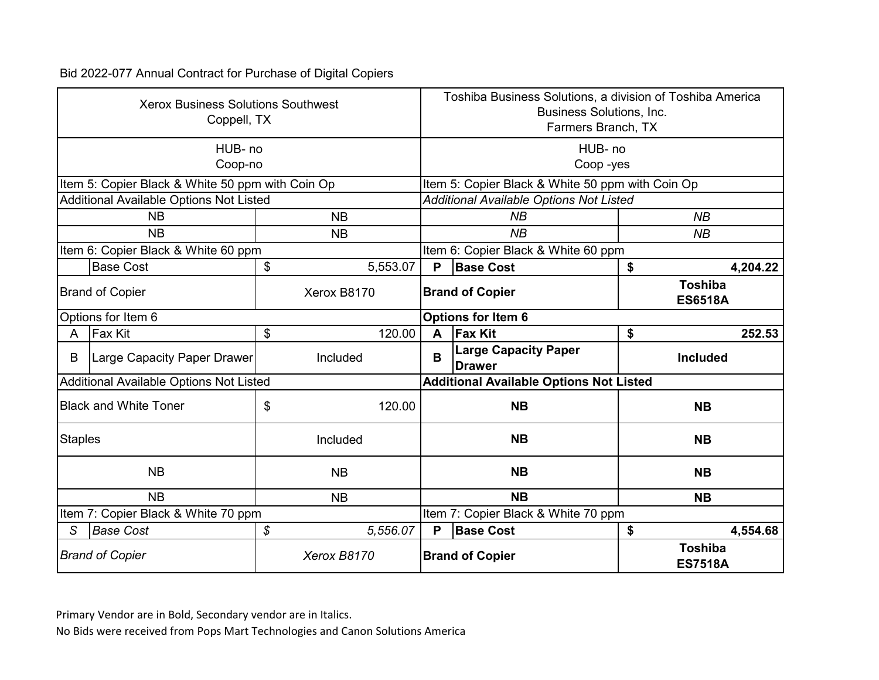|                                     | <b>Xerox Business Solutions Southwest</b><br>Coppell, TX |                            |             | Toshiba Business Solutions, a division of Toshiba America<br><b>Business Solutions, Inc.</b><br>Farmers Branch, TX |                                                  |         |                                  |  |
|-------------------------------------|----------------------------------------------------------|----------------------------|-------------|--------------------------------------------------------------------------------------------------------------------|--------------------------------------------------|---------|----------------------------------|--|
|                                     | HUB- no                                                  |                            |             |                                                                                                                    |                                                  | HUB- no |                                  |  |
|                                     | Coop-no                                                  |                            |             | Coop-yes                                                                                                           |                                                  |         |                                  |  |
|                                     | Item 5: Copier Black & White 50 ppm with Coin Op         |                            |             |                                                                                                                    | Item 5: Copier Black & White 50 ppm with Coin Op |         |                                  |  |
|                                     | Additional Available Options Not Listed                  |                            |             |                                                                                                                    | <b>Additional Available Options Not Listed</b>   |         |                                  |  |
|                                     | <b>NB</b>                                                |                            | <b>NB</b>   |                                                                                                                    | NB                                               |         | NB                               |  |
| <b>NB</b>                           |                                                          |                            | <b>NB</b>   |                                                                                                                    | NB                                               |         | NB                               |  |
| Item 6: Copier Black & White 60 ppm |                                                          |                            |             | Item 6: Copier Black & White 60 ppm                                                                                |                                                  |         |                                  |  |
|                                     | <b>Base Cost</b>                                         | \$                         | 5,553.07    | P                                                                                                                  | <b>Base Cost</b>                                 | \$      | 4,204.22                         |  |
| <b>Brand of Copier</b>              |                                                          |                            | Xerox B8170 | <b>Brand of Copier</b>                                                                                             |                                                  |         | <b>Toshiba</b><br><b>ES6518A</b> |  |
|                                     | Options for Item 6                                       |                            |             |                                                                                                                    | Options for Item 6                               |         |                                  |  |
| A                                   | Fax Kit                                                  | \$                         | 120.00      | A                                                                                                                  | <b>Fax Kit</b>                                   | \$      | 252.53                           |  |
| B                                   | Large Capacity Paper Drawer                              |                            | Included    | B                                                                                                                  | <b>Large Capacity Paper</b><br><b>Drawer</b>     |         | <b>Included</b>                  |  |
|                                     | Additional Available Options Not Listed                  |                            |             | <b>Additional Available Options Not Listed</b>                                                                     |                                                  |         |                                  |  |
|                                     | <b>Black and White Toner</b>                             | \$                         | 120.00      |                                                                                                                    | <b>NB</b>                                        |         | <b>NB</b>                        |  |
| <b>Staples</b>                      |                                                          |                            | Included    |                                                                                                                    | <b>NB</b>                                        |         | <b>NB</b>                        |  |
|                                     | <b>NB</b>                                                |                            | <b>NB</b>   |                                                                                                                    | <b>NB</b>                                        |         | <b>NB</b>                        |  |
|                                     | NB                                                       |                            | <b>NB</b>   |                                                                                                                    | <b>NB</b>                                        |         | <b>NB</b>                        |  |
|                                     | Item 7: Copier Black & White 70 ppm                      |                            |             |                                                                                                                    | Item 7: Copier Black & White 70 ppm              |         |                                  |  |
| S                                   | <b>Base Cost</b>                                         | $\boldsymbol{\mathcal{S}}$ | 5,556.07    | P                                                                                                                  | <b>Base Cost</b>                                 | \$      | 4,554.68                         |  |
|                                     | <b>Brand of Copier</b>                                   |                            | Xerox B8170 | <b>Brand of Copier</b>                                                                                             |                                                  |         | <b>Toshiba</b><br><b>ES7518A</b> |  |

Primary Vendor are in Bold, Secondary vendor are in Italics.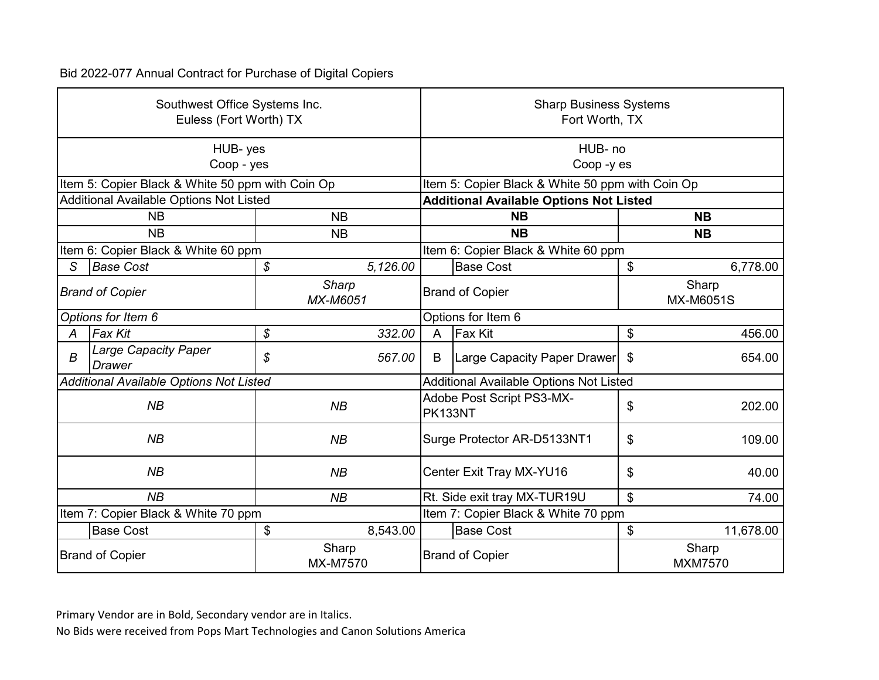|                                     | Southwest Office Systems Inc.<br>Euless (Fort Worth) TX |                          | <b>Sharp Business Systems</b><br>Fort Worth, TX |                                                  |                           |                         |  |
|-------------------------------------|---------------------------------------------------------|--------------------------|-------------------------------------------------|--------------------------------------------------|---------------------------|-------------------------|--|
|                                     | HUB-yes<br>Coop - yes                                   |                          |                                                 | HUB- no<br>Coop-yes                              |                           |                         |  |
|                                     | Item 5: Copier Black & White 50 ppm with Coin Op        |                          |                                                 | Item 5: Copier Black & White 50 ppm with Coin Op |                           |                         |  |
|                                     | Additional Available Options Not Listed                 |                          |                                                 | <b>Additional Available Options Not Listed</b>   |                           |                         |  |
|                                     | <b>NB</b>                                               |                          | <b>NB</b>                                       |                                                  | <b>NB</b>                 |                         |  |
|                                     | <b>NB</b>                                               | <b>NB</b>                |                                                 | <b>NB</b>                                        |                           | <b>NB</b>               |  |
| Item 6: Copier Black & White 60 ppm |                                                         |                          |                                                 | Item 6: Copier Black & White 60 ppm              |                           |                         |  |
| S                                   | <b>Base Cost</b>                                        | \$<br>5,126.00           |                                                 | <b>Base Cost</b>                                 | \$                        | 6,778.00                |  |
|                                     | <b>Brand of Copier</b>                                  | <b>Sharp</b><br>MX-M6051 |                                                 | <b>Brand of Copier</b>                           | Sharp<br><b>MX-M6051S</b> |                         |  |
|                                     | Options for Item 6                                      |                          |                                                 | Options for Item 6                               |                           |                         |  |
| А                                   | Fax Kit                                                 | \$<br>332.00             | $\overline{A}$                                  | <b>Fax Kit</b>                                   | \$                        | 456.00                  |  |
| $\boldsymbol{B}$                    | <b>Large Capacity Paper</b><br><b>Drawer</b>            | \$<br>567.00             | B                                               | Large Capacity Paper Drawer                      | \$                        | 654.00                  |  |
|                                     | Additional Available Options Not Listed                 |                          | Additional Available Options Not Listed         |                                                  |                           |                         |  |
|                                     | NB                                                      | NB                       | PK133NT                                         | Adobe Post Script PS3-MX-                        | \$                        | 202.00                  |  |
|                                     | NB                                                      | NB                       |                                                 | Surge Protector AR-D5133NT1                      | \$                        | 109.00                  |  |
|                                     | NB                                                      | NB                       |                                                 | Center Exit Tray MX-YU16                         | \$                        | 40.00                   |  |
|                                     | NB                                                      | NB                       |                                                 | Rt. Side exit tray MX-TUR19U                     | \$                        | 74.00                   |  |
| Item 7: Copier Black & White 70 ppm |                                                         |                          |                                                 | Item 7: Copier Black & White 70 ppm              |                           |                         |  |
|                                     | <b>Base Cost</b>                                        | \$<br>8,543.00           |                                                 | <b>Base Cost</b>                                 | \$                        | 11,678.00               |  |
|                                     | <b>Brand of Copier</b>                                  | Sharp<br>MX-M7570        |                                                 | <b>Brand of Copier</b>                           |                           | Sharp<br><b>MXM7570</b> |  |

Primary Vendor are in Bold, Secondary vendor are in Italics.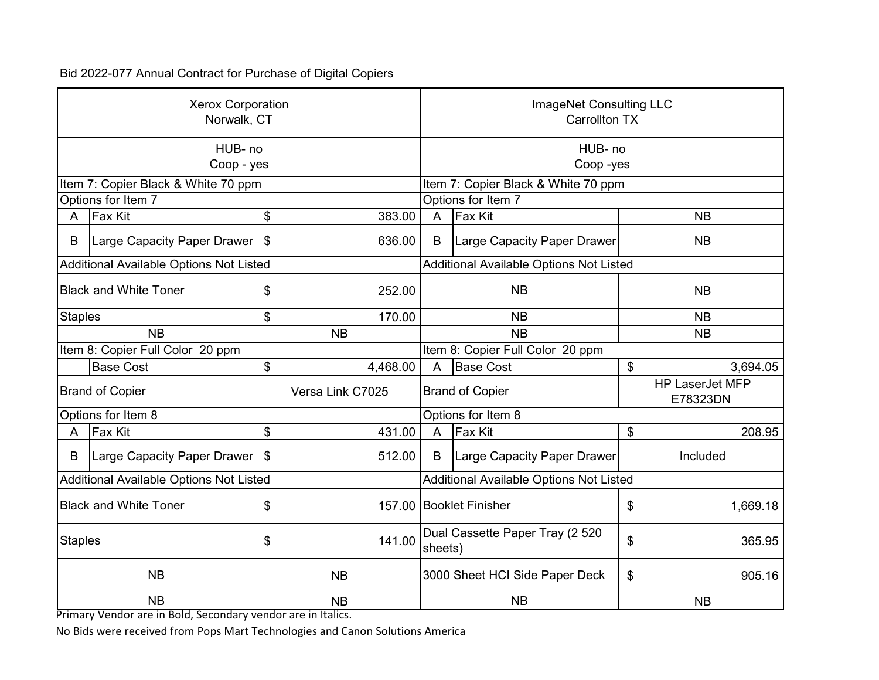| <b>Xerox Corporation</b><br>Norwalk, CT |                                         |                                            |                  | ImageNet Consulting LLC<br><b>Carrollton TX</b> |                                         |           |                                    |
|-----------------------------------------|-----------------------------------------|--------------------------------------------|------------------|-------------------------------------------------|-----------------------------------------|-----------|------------------------------------|
|                                         | HUB-no<br>Coop - yes                    |                                            |                  |                                                 | HUB-no<br>Coop-yes                      |           |                                    |
|                                         | Item 7: Copier Black & White 70 ppm     |                                            |                  |                                                 | Item 7: Copier Black & White 70 ppm     |           |                                    |
|                                         | Options for Item 7                      |                                            |                  |                                                 | Options for Item 7                      |           |                                    |
| A                                       | Fax Kit                                 | \$                                         | 383.00           | $\overline{A}$                                  | <b>Fax Kit</b>                          |           | <b>NB</b>                          |
| B                                       | Large Capacity Paper Drawer             | \$                                         | 636.00           | B                                               | Large Capacity Paper Drawer             |           | <b>NB</b>                          |
|                                         | Additional Available Options Not Listed |                                            |                  |                                                 | Additional Available Options Not Listed |           |                                    |
| <b>Black and White Toner</b><br>\$      |                                         | 252.00                                     |                  | <b>NB</b>                                       |                                         | <b>NB</b> |                                    |
| <b>Staples</b>                          |                                         | \$                                         | 170.00           | <b>NB</b>                                       |                                         | <b>NB</b> |                                    |
|                                         | <b>NB</b>                               |                                            | <b>NB</b>        |                                                 | <b>NB</b><br><b>NB</b>                  |           |                                    |
|                                         | Item 8: Copier Full Color 20 ppm        |                                            |                  | Item 8: Copier Full Color 20 ppm                |                                         |           |                                    |
|                                         | <b>Base Cost</b>                        | \$                                         | 4,468.00         | A                                               | <b>Base Cost</b>                        | \$        | 3,694.05                           |
|                                         | <b>Brand of Copier</b>                  |                                            | Versa Link C7025 | <b>Brand of Copier</b>                          |                                         |           | <b>HP LaserJet MFP</b><br>E78323DN |
|                                         | Options for Item 8                      |                                            |                  | Options for Item 8                              |                                         |           |                                    |
| A                                       | <b>Fax Kit</b>                          | \$                                         | 431.00           | $\mathsf{A}$                                    | Fax Kit                                 | \$        | 208.95                             |
| B                                       | Large Capacity Paper Drawer             | \$                                         | 512.00           | B                                               | <b>Large Capacity Paper Drawer</b>      |           | Included                           |
|                                         | Additional Available Options Not Listed |                                            |                  | Additional Available Options Not Listed         |                                         |           |                                    |
|                                         | <b>Black and White Toner</b>            | \$                                         |                  |                                                 | 157.00 Booklet Finisher                 |           | 1,669.18                           |
| 141.00<br><b>Staples</b><br>\$          |                                         | Dual Cassette Paper Tray (2 520<br>sheets) |                  | \$                                              | 365.95                                  |           |                                    |
| <b>NB</b><br><b>NB</b>                  |                                         | 3000 Sheet HCI Side Paper Deck             |                  | \$                                              | 905.16                                  |           |                                    |
| <b>NB</b><br><b>NB</b>                  |                                         |                                            | <b>NB</b>        |                                                 |                                         | <b>NB</b> |                                    |

Primary Vendor are in Bold, Secondary vendor are in Italics.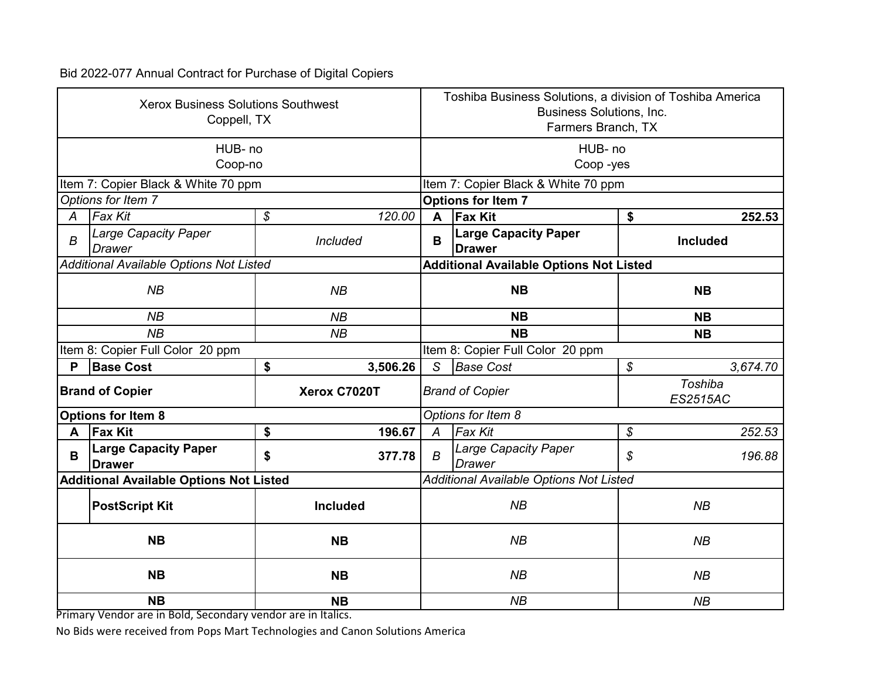| <b>Xerox Business Solutions Southwest</b><br>Coppell, TX |                                                |                                      | Toshiba Business Solutions, a division of Toshiba America<br>Business Solutions, Inc.<br>Farmers Branch, TX |                                                |                                        |  |  |
|----------------------------------------------------------|------------------------------------------------|--------------------------------------|-------------------------------------------------------------------------------------------------------------|------------------------------------------------|----------------------------------------|--|--|
|                                                          | HUB-no                                         |                                      |                                                                                                             | HUB- no                                        |                                        |  |  |
|                                                          | Coop-no                                        |                                      |                                                                                                             | Coop-yes                                       |                                        |  |  |
|                                                          | Item 7: Copier Black & White 70 ppm            |                                      |                                                                                                             | Item 7: Copier Black & White 70 ppm            |                                        |  |  |
|                                                          | Options for Item 7                             |                                      |                                                                                                             | <b>Options for Item 7</b>                      |                                        |  |  |
| A                                                        | <b>Fax Kit</b>                                 | $\boldsymbol{\mathcal{S}}$<br>120.00 | A                                                                                                           | <b>Fax Kit</b>                                 | \$<br>252.53                           |  |  |
| B                                                        | Large Capacity Paper<br><b>Drawer</b>          | Included                             | B                                                                                                           | <b>Large Capacity Paper</b><br><b>Drawer</b>   | <b>Included</b>                        |  |  |
|                                                          | <b>Additional Available Options Not Listed</b> |                                      |                                                                                                             | <b>Additional Available Options Not Listed</b> |                                        |  |  |
|                                                          | NB<br>NB                                       |                                      |                                                                                                             | <b>NB</b>                                      | <b>NB</b>                              |  |  |
|                                                          | NB                                             | NB                                   |                                                                                                             | <b>NB</b>                                      | <b>NB</b>                              |  |  |
|                                                          | NB                                             | NB                                   |                                                                                                             | <b>NB</b>                                      | <b>NB</b>                              |  |  |
|                                                          | Item 8: Copier Full Color 20 ppm               |                                      | Item 8: Copier Full Color 20 ppm                                                                            |                                                |                                        |  |  |
| P                                                        | <b>Base Cost</b>                               | \$<br>3,506.26                       | S                                                                                                           | <b>Base Cost</b>                               | $\boldsymbol{\mathcal{S}}$<br>3,674.70 |  |  |
|                                                          | <b>Brand of Copier</b>                         | Xerox C7020T                         | <b>Brand of Copier</b>                                                                                      |                                                | <b>Toshiba</b><br><b>ES2515AC</b>      |  |  |
|                                                          | <b>Options for Item 8</b>                      |                                      | Options for Item 8                                                                                          |                                                |                                        |  |  |
| A                                                        | <b>Fax Kit</b>                                 | \$<br>196.67                         | $\overline{A}$                                                                                              | <b>Fax Kit</b>                                 | \$<br>252.53                           |  |  |
| B                                                        | <b>Large Capacity Paper</b><br><b>Drawer</b>   | \$<br>377.78                         | $\boldsymbol{B}$                                                                                            | <b>Large Capacity Paper</b><br>Drawer          | \$<br>196.88                           |  |  |
|                                                          | <b>Additional Available Options Not Listed</b> |                                      |                                                                                                             | <b>Additional Available Options Not Listed</b> |                                        |  |  |
|                                                          | <b>PostScript Kit</b>                          | Included                             |                                                                                                             | NB                                             | NB                                     |  |  |
|                                                          | <b>NB</b><br><b>NB</b>                         |                                      | NB                                                                                                          |                                                | NB                                     |  |  |
| <b>NB</b><br><b>NB</b>                                   |                                                |                                      |                                                                                                             | NB                                             | NB                                     |  |  |
| <b>NB</b><br><b>NB</b>                                   |                                                |                                      |                                                                                                             | NB                                             |                                        |  |  |

Primary Vendor are in Bold, Secondary vendor are in Italics.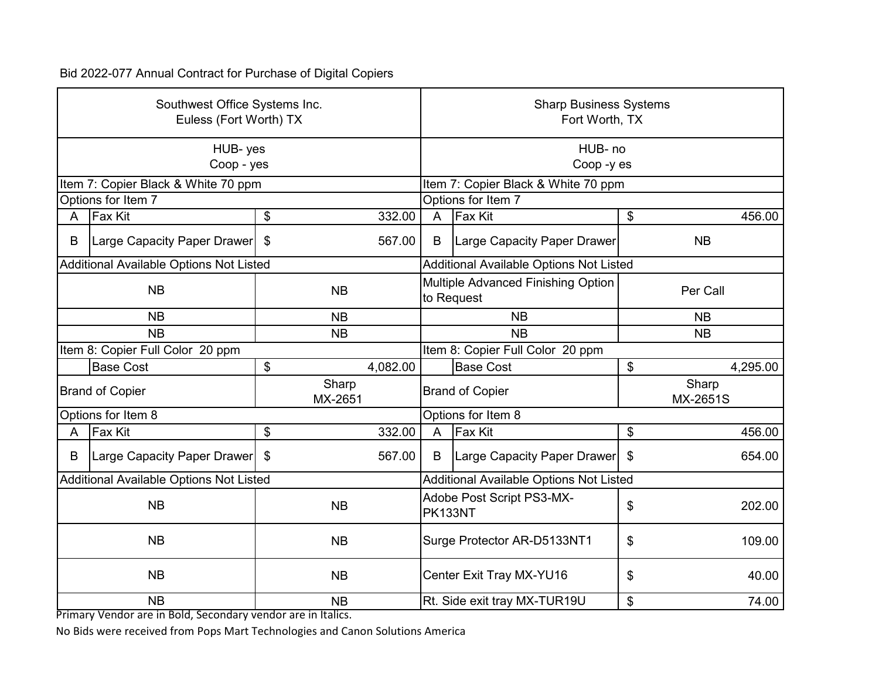| Southwest Office Systems Inc.<br>Euless (Fort Worth) TX |                                         |                                                  |                                             | <b>Sharp Business Systems</b><br>Fort Worth, TX |          |                   |  |
|---------------------------------------------------------|-----------------------------------------|--------------------------------------------------|---------------------------------------------|-------------------------------------------------|----------|-------------------|--|
|                                                         | HUB-yes<br>Coop - yes                   |                                                  | HUB-no<br>Coop-yes                          |                                                 |          |                   |  |
|                                                         | Item 7: Copier Black & White 70 ppm     |                                                  |                                             | Item 7: Copier Black & White 70 ppm             |          |                   |  |
|                                                         | Options for Item 7                      |                                                  |                                             | Options for Item 7                              |          |                   |  |
| A                                                       | Fax Kit                                 | \$<br>332.00                                     | $\overline{A}$                              | <b>Fax Kit</b>                                  | \$       | 456.00            |  |
| B                                                       | Large Capacity Paper Drawer             | $\boldsymbol{\mathsf{\$}}$<br>567.00             | B                                           | Large Capacity Paper Drawer                     |          | <b>NB</b>         |  |
|                                                         | Additional Available Options Not Listed |                                                  |                                             | <b>Additional Available Options Not Listed</b>  |          |                   |  |
| <b>NB</b><br><b>NB</b>                                  |                                         | Multiple Advanced Finishing Option<br>to Request |                                             |                                                 | Per Call |                   |  |
|                                                         | <b>NB</b>                               | <b>NB</b>                                        |                                             | <b>NB</b><br><b>NB</b>                          |          |                   |  |
| <b>NB</b><br><b>NB</b>                                  |                                         |                                                  | <b>NB</b><br><b>NB</b>                      |                                                 |          |                   |  |
|                                                         | Item 8: Copier Full Color 20 ppm        |                                                  |                                             | Item 8: Copier Full Color 20 ppm                |          |                   |  |
|                                                         | <b>Base Cost</b>                        | \$<br>4,082.00                                   |                                             | <b>Base Cost</b>                                | \$       | 4,295.00          |  |
|                                                         | <b>Brand of Copier</b>                  | Sharp<br>MX-2651                                 | <b>Brand of Copier</b>                      |                                                 |          | Sharp<br>MX-2651S |  |
|                                                         | Options for Item 8                      |                                                  |                                             | Options for Item 8                              |          |                   |  |
| A                                                       | <b>Fax Kit</b>                          | \$<br>332.00                                     | $\overline{A}$                              | <b>Fax Kit</b>                                  | \$       | 456.00            |  |
| B                                                       | Large Capacity Paper Drawer             | $\mathfrak{F}$<br>567.00                         | B                                           | Large Capacity Paper Drawer                     | \$       | 654.00            |  |
|                                                         | Additional Available Options Not Listed |                                                  |                                             | Additional Available Options Not Listed         |          |                   |  |
| <b>NB</b><br><b>NB</b>                                  |                                         | Adobe Post Script PS3-MX-<br>PK133NT             |                                             | \$                                              | 202.00   |                   |  |
| <b>NB</b><br><b>NB</b>                                  |                                         | Surge Protector AR-D5133NT1                      |                                             | \$                                              | 109.00   |                   |  |
| <b>NB</b><br><b>NB</b>                                  |                                         | Center Exit Tray MX-YU16                         |                                             | \$                                              | 40.00    |                   |  |
|                                                         | <b>NB</b>                               | <b>NB</b>                                        | Rt. Side exit tray MX-TUR19U<br>\$<br>74.00 |                                                 |          |                   |  |

Primary Vendor are in Bold, Secondary vendor are in Italics.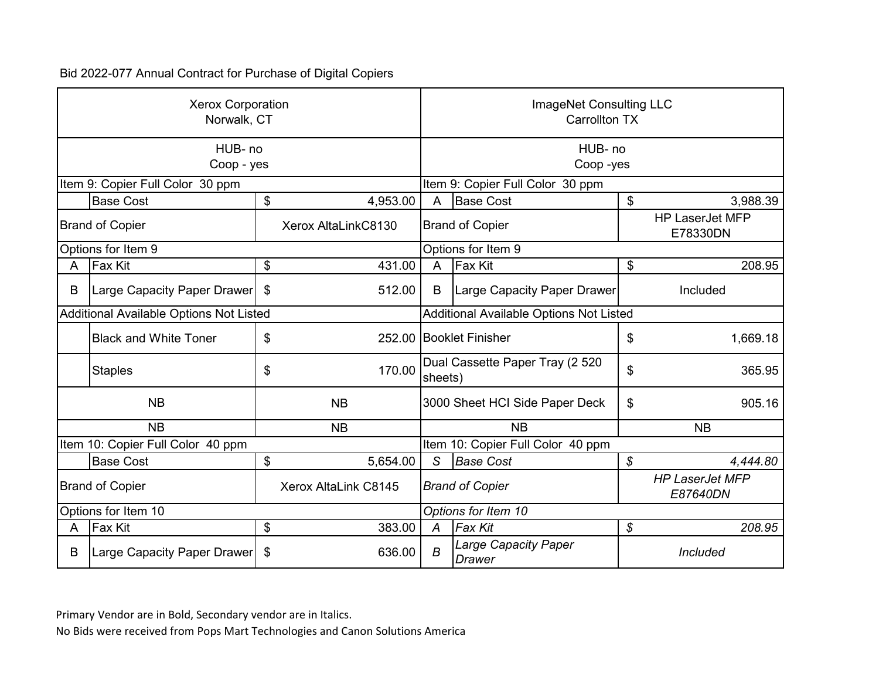| <b>Xerox Corporation</b><br>Norwalk, CT        |                                         |                     |                        | ImageNet Consulting LLC<br><b>Carrollton TX</b> |                                              |                                    |          |
|------------------------------------------------|-----------------------------------------|---------------------|------------------------|-------------------------------------------------|----------------------------------------------|------------------------------------|----------|
|                                                | HUB-no<br>Coop - yes                    |                     |                        | HUB- no<br>Coop-yes                             |                                              |                                    |          |
|                                                | Item 9: Copier Full Color 30 ppm        |                     |                        |                                                 | Item 9: Copier Full Color 30 ppm             |                                    |          |
|                                                | <b>Base Cost</b>                        | \$                  | 4,953.00               | A                                               | <b>Base Cost</b>                             | \$                                 | 3,988.39 |
| <b>Brand of Copier</b>                         |                                         | Xerox AltaLinkC8130 |                        | <b>Brand of Copier</b>                          |                                              | <b>HP LaserJet MFP</b><br>E78330DN |          |
|                                                | Options for Item 9                      |                     |                        |                                                 | Options for Item 9                           |                                    |          |
| A                                              | <b>Fax Kit</b>                          | \$                  | 431.00                 | $\overline{A}$                                  | Fax Kit                                      | \$                                 | 208.95   |
| B                                              | Large Capacity Paper Drawer             | \$                  | 512.00                 | B                                               | Large Capacity Paper Drawer                  |                                    | Included |
|                                                | Additional Available Options Not Listed |                     |                        | <b>Additional Available Options Not Listed</b>  |                                              |                                    |          |
|                                                | <b>Black and White Toner</b>            | \$                  |                        | 252.00 Booklet Finisher                         |                                              | \$                                 | 1,669.18 |
|                                                | <b>Staples</b>                          | \$                  | 170.00                 | sheets)                                         | Dual Cassette Paper Tray (2 520              | \$                                 | 365.95   |
|                                                | <b>NB</b>                               |                     | <b>NB</b>              | 3000 Sheet HCI Side Paper Deck                  |                                              | \$                                 | 905.16   |
|                                                | <b>NB</b>                               |                     | <b>NB</b>              | <b>NB</b><br><b>NB</b>                          |                                              |                                    |          |
|                                                | Item 10: Copier Full Color 40 ppm       |                     |                        |                                                 | Item 10: Copier Full Color 40 ppm            |                                    |          |
|                                                | <b>Base Cost</b>                        | \$                  | 5,654.00               | S                                               | <b>Base Cost</b>                             | $\mathcal{S}$                      | 4,444.80 |
| Xerox AltaLink C8145<br><b>Brand of Copier</b> |                                         |                     | <b>Brand of Copier</b> |                                                 | <b>HP LaserJet MFP</b><br>E87640DN           |                                    |          |
| Options for Item 10                            |                                         |                     |                        | Options for Item 10                             |                                              |                                    |          |
| Α                                              | <b>Fax Kit</b>                          | \$                  | 383.00                 | $\overline{A}$                                  | <b>Fax Kit</b>                               | \$                                 | 208.95   |
| В                                              | Large Capacity Paper Drawer             | \$                  | 636.00                 | B                                               | <b>Large Capacity Paper</b><br><b>Drawer</b> |                                    | Included |

Primary Vendor are in Bold, Secondary vendor are in Italics.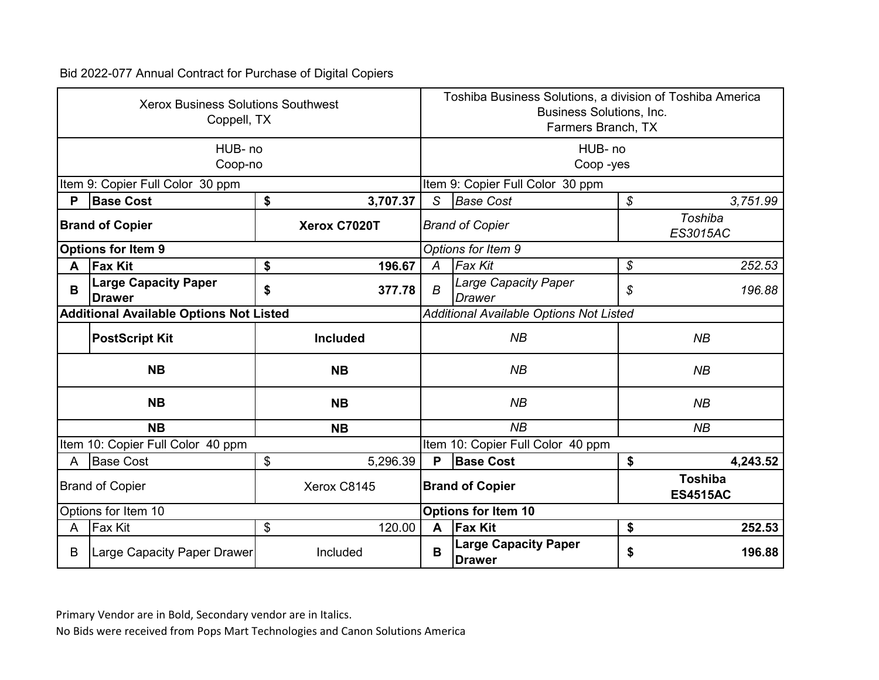| <b>Xerox Business Solutions Southwest</b><br>Coppell, TX |                                                |                                                             |          | Toshiba Business Solutions, a division of Toshiba America<br>Business Solutions, Inc.<br>Farmers Branch, TX |                                              |                     |          |  |
|----------------------------------------------------------|------------------------------------------------|-------------------------------------------------------------|----------|-------------------------------------------------------------------------------------------------------------|----------------------------------------------|---------------------|----------|--|
|                                                          | HUB- no<br>Coop-no                             |                                                             |          |                                                                                                             |                                              | HUB- no<br>Coop-yes |          |  |
|                                                          | Item 9: Copier Full Color 30 ppm               |                                                             |          |                                                                                                             | Item 9: Copier Full Color 30 ppm             |                     |          |  |
| P                                                        | <b>Base Cost</b>                               | \$                                                          | 3,707.37 | S                                                                                                           | <b>Base Cost</b>                             | \$                  | 3,751.99 |  |
| Xerox C7020T<br><b>Brand of Copier</b>                   |                                                |                                                             |          | Toshiba<br><b>Brand of Copier</b><br>ES3015AC                                                               |                                              |                     |          |  |
|                                                          | <b>Options for Item 9</b>                      |                                                             |          |                                                                                                             | Options for Item 9                           |                     |          |  |
| A                                                        | <b>Fax Kit</b>                                 | \$                                                          | 196.67   | A                                                                                                           | <b>Fax Kit</b>                               | \$                  | 252.53   |  |
| B                                                        | <b>Large Capacity Paper</b><br><b>Drawer</b>   | \$                                                          | 377.78   | B                                                                                                           | Large Capacity Paper<br>Drawer               | \$                  | 196.88   |  |
|                                                          | <b>Additional Available Options Not Listed</b> |                                                             |          | <b>Additional Available Options Not Listed</b>                                                              |                                              |                     |          |  |
|                                                          | <b>PostScript Kit</b>                          | <b>Included</b>                                             |          | NB                                                                                                          |                                              |                     | NB       |  |
|                                                          | <b>NB</b>                                      | <b>NB</b>                                                   |          |                                                                                                             | NB                                           |                     | NB       |  |
|                                                          | <b>NB</b>                                      | <b>NB</b>                                                   |          |                                                                                                             | NB                                           |                     | NB       |  |
|                                                          | <b>NB</b>                                      | <b>NB</b>                                                   |          | NB<br>NB                                                                                                    |                                              |                     |          |  |
|                                                          | Item 10: Copier Full Color 40 ppm              |                                                             |          |                                                                                                             | Item 10: Copier Full Color 40 ppm            |                     |          |  |
| A                                                        | <b>Base Cost</b>                               | \$                                                          | 5,296.39 | P                                                                                                           | <b>Base Cost</b>                             | \$                  | 4,243.52 |  |
| Xerox C8145<br><b>Brand of Copier</b>                    |                                                | <b>Toshiba</b><br><b>Brand of Copier</b><br><b>ES4515AC</b> |          |                                                                                                             |                                              |                     |          |  |
| Options for Item 10                                      |                                                |                                                             |          | <b>Options for Item 10</b>                                                                                  |                                              |                     |          |  |
| A                                                        | <b>Fax Kit</b>                                 | \$                                                          | 120.00   | A                                                                                                           | <b>Fax Kit</b>                               | \$                  | 252.53   |  |
| B                                                        | <b>Large Capacity Paper Drawer</b>             | Included                                                    |          | B                                                                                                           | <b>Large Capacity Paper</b><br><b>Drawer</b> | \$                  | 196.88   |  |

Primary Vendor are in Bold, Secondary vendor are in Italics.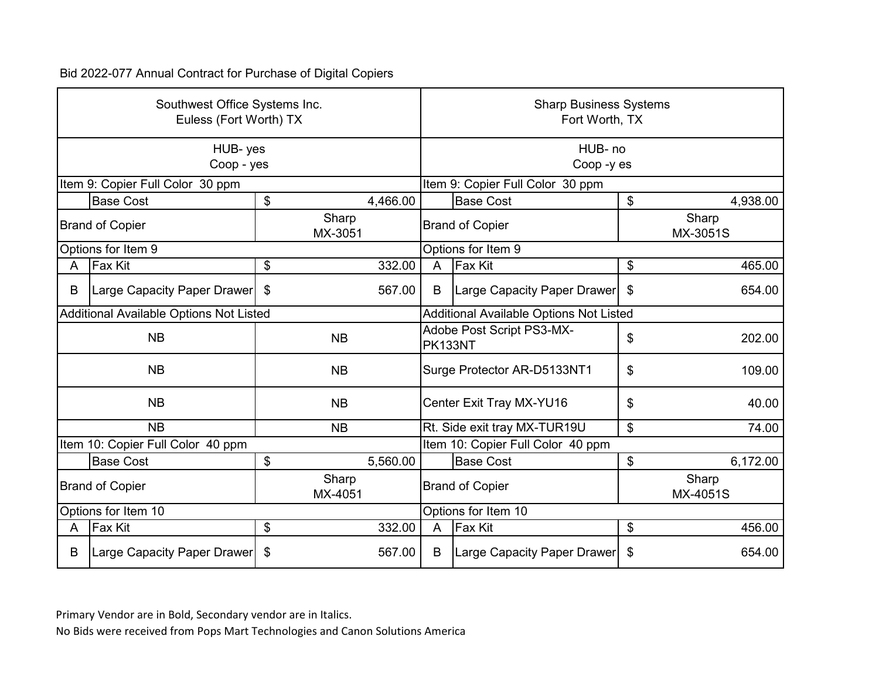| Southwest Office Systems Inc.<br>Euless (Fort Worth) TX |                                         |                        |                        | <b>Sharp Business Systems</b><br>Fort Worth, TX |                                   |                   |          |
|---------------------------------------------------------|-----------------------------------------|------------------------|------------------------|-------------------------------------------------|-----------------------------------|-------------------|----------|
|                                                         | HUB-yes<br>Coop - yes                   |                        |                        | HUB-no<br>Coop-yes                              |                                   |                   |          |
|                                                         | Item 9: Copier Full Color 30 ppm        |                        |                        |                                                 | Item 9: Copier Full Color 30 ppm  |                   |          |
|                                                         | <b>Base Cost</b>                        | \$                     | 4,466.00               |                                                 | <b>Base Cost</b>                  | \$                | 4,938.00 |
| Sharp<br><b>Brand of Copier</b><br>MX-3051              |                                         |                        | <b>Brand of Copier</b> |                                                 |                                   | Sharp<br>MX-3051S |          |
|                                                         | Options for Item 9                      |                        |                        |                                                 | Options for Item 9                |                   |          |
| A                                                       | Fax Kit                                 | \$                     | 332.00                 | $\overline{A}$                                  | <b>Fax Kit</b>                    | \$                | 465.00   |
| B                                                       | Large Capacity Paper Drawer   \$        |                        | 567.00                 | B                                               | Large Capacity Paper Drawer       | \$                | 654.00   |
|                                                         | Additional Available Options Not Listed |                        |                        | Additional Available Options Not Listed         |                                   |                   |          |
|                                                         | <b>NB</b>                               | <b>NB</b>              |                        | Adobe Post Script PS3-MX-<br>PK133NT            |                                   | \$                | 202.00   |
|                                                         | <b>NB</b>                               | <b>NB</b>              |                        | Surge Protector AR-D5133NT1                     |                                   | \$                | 109.00   |
|                                                         | <b>NB</b>                               | <b>NB</b>              |                        | Center Exit Tray MX-YU16                        |                                   | \$                | 40.00    |
|                                                         | <b>NB</b>                               | <b>NB</b>              |                        | Rt. Side exit tray MX-TUR19U<br>\$              |                                   |                   | 74.00    |
|                                                         | Item 10: Copier Full Color 40 ppm       |                        |                        |                                                 | Item 10: Copier Full Color 40 ppm |                   |          |
|                                                         | <b>Base Cost</b>                        | \$                     | 5,560.00               |                                                 | <b>Base Cost</b>                  | \$                | 6,172.00 |
| Sharp<br><b>Brand of Copier</b><br>MX-4051              |                                         | <b>Brand of Copier</b> |                        |                                                 | Sharp<br>MX-4051S                 |                   |          |
| Options for Item 10                                     |                                         |                        |                        | Options for Item 10                             |                                   |                   |          |
| A                                                       | Fax Kit                                 | \$                     | 332.00                 | $\overline{A}$                                  | <b>Fax Kit</b>                    | \$                | 456.00   |
| B                                                       | Large Capacity Paper Drawer             | \$                     | 567.00                 | B                                               | Large Capacity Paper Drawer       | \$                | 654.00   |

Primary Vendor are in Bold, Secondary vendor are in Italics.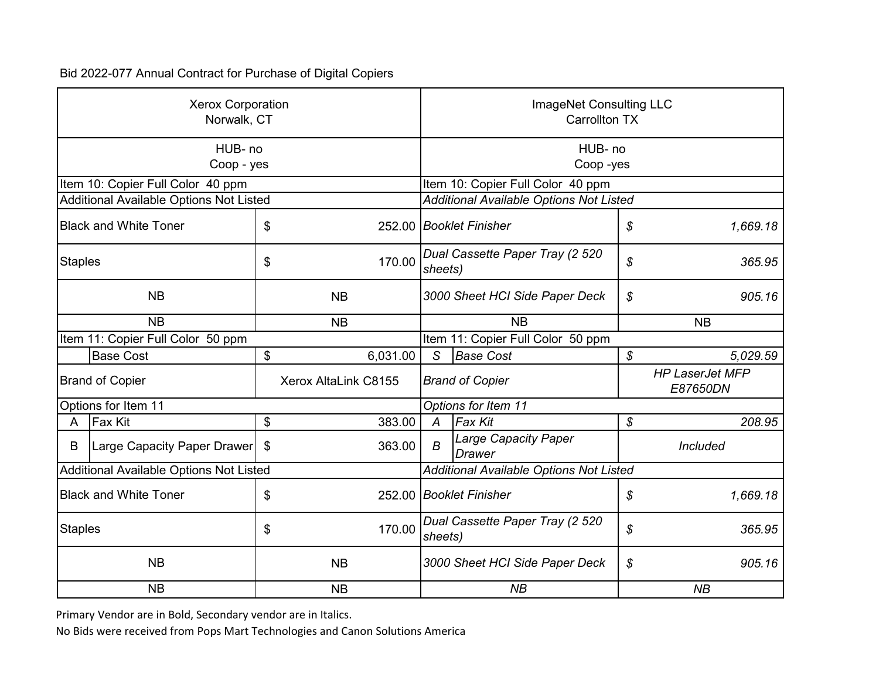| <b>Xerox Corporation</b><br>Norwalk, CT |                                         |                      |                 | ImageNet Consulting LLC<br><b>Carrollton TX</b> |                                                |                            |                                    |  |
|-----------------------------------------|-----------------------------------------|----------------------|-----------------|-------------------------------------------------|------------------------------------------------|----------------------------|------------------------------------|--|
|                                         | HUB- no<br>Coop - yes                   |                      |                 | HUB- no<br>Coop-yes                             |                                                |                            |                                    |  |
|                                         | Item 10: Copier Full Color 40 ppm       |                      |                 |                                                 | Item 10: Copier Full Color 40 ppm              |                            |                                    |  |
|                                         | Additional Available Options Not Listed |                      |                 |                                                 | <b>Additional Available Options Not Listed</b> |                            |                                    |  |
|                                         | <b>Black and White Toner</b>            | \$                   |                 |                                                 | 252.00 Booklet Finisher                        | \$                         | 1,669.18                           |  |
| Staples                                 |                                         | \$                   | 170.00          | Dual Cassette Paper Tray (2 520<br>sheets)      |                                                | \$                         | 365.95                             |  |
| <b>NB</b>                               |                                         |                      | <b>NB</b>       | 3000 Sheet HCI Side Paper Deck                  |                                                | \$                         | 905.16                             |  |
| <b>NB</b>                               |                                         |                      | <b>NB</b>       |                                                 | <b>NB</b>                                      |                            | <b>NB</b>                          |  |
|                                         | Item 11: Copier Full Color 50 ppm       |                      |                 |                                                 | Item 11: Copier Full Color 50 ppm              |                            |                                    |  |
|                                         | <b>Base Cost</b>                        | \$                   | 6,031.00        | S                                               | <b>Base Cost</b>                               | $\boldsymbol{\mathcal{S}}$ | 5,029.59                           |  |
|                                         | <b>Brand of Copier</b>                  | Xerox AltaLink C8155 |                 | <b>Brand of Copier</b>                          |                                                |                            | <b>HP LaserJet MFP</b><br>E87650DN |  |
|                                         | Options for Item 11                     |                      |                 | Options for Item 11                             |                                                |                            |                                    |  |
| A                                       | <b>Fax Kit</b>                          | \$                   | 383.00          | $\overline{A}$                                  | <b>Fax Kit</b>                                 | \$                         | 208.95                             |  |
| B                                       | Large Capacity Paper Drawer             | \$                   | 363.00          | $\boldsymbol{B}$                                | <b>Large Capacity Paper</b><br><b>Drawer</b>   |                            | Included                           |  |
|                                         | Additional Available Options Not Listed |                      |                 | Additional Available Options Not Listed         |                                                |                            |                                    |  |
| <b>Black and White Toner</b><br>\$      |                                         |                      |                 | 252.00 Booklet Finisher                         |                                                | \$                         | 1,669.18                           |  |
| <b>Staples</b><br>\$                    |                                         |                      | 170.00          | Dual Cassette Paper Tray (2 520<br>sheets)      |                                                | \$                         | 365.95                             |  |
| <b>NB</b>                               |                                         |                      | <b>NB</b>       | 3000 Sheet HCI Side Paper Deck                  |                                                | \$                         | 905.16                             |  |
| <b>NB</b><br><b>NB</b>                  |                                         |                      | NB<br><b>NB</b> |                                                 |                                                |                            |                                    |  |

Primary Vendor are in Bold, Secondary vendor are in Italics.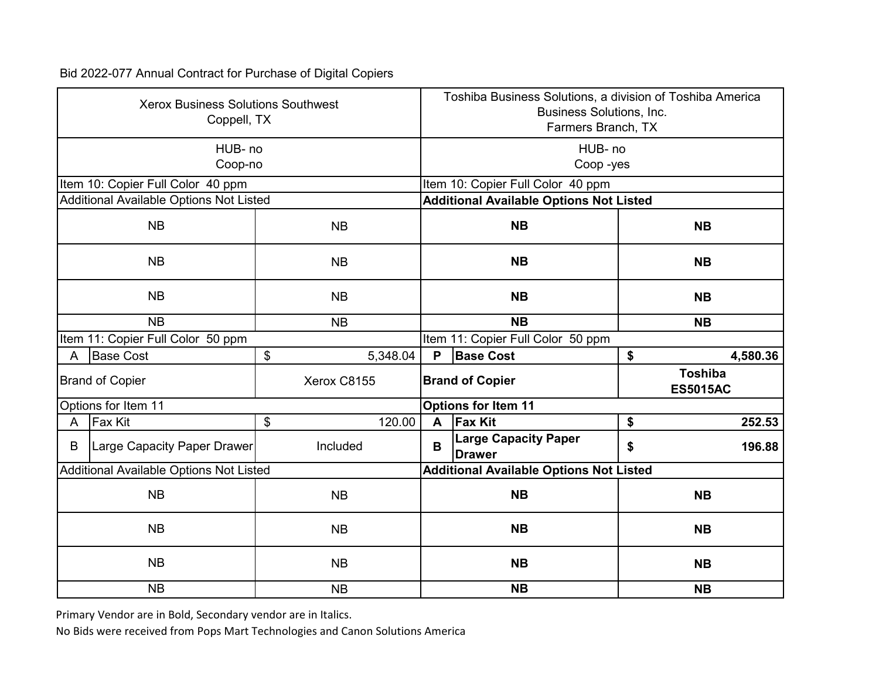| <b>Xerox Business Solutions Southwest</b><br>Coppell, TX |                                         |                |  | Toshiba Business Solutions, a division of Toshiba America<br><b>Business Solutions, Inc.</b><br>Farmers Branch, TX |                                                |                                   |  |  |
|----------------------------------------------------------|-----------------------------------------|----------------|--|--------------------------------------------------------------------------------------------------------------------|------------------------------------------------|-----------------------------------|--|--|
|                                                          | HUB-no<br>Coop-no                       |                |  | HUB- no<br>Coop-yes                                                                                                |                                                |                                   |  |  |
|                                                          | Item 10: Copier Full Color 40 ppm       |                |  |                                                                                                                    | Item 10: Copier Full Color 40 ppm              |                                   |  |  |
|                                                          | Additional Available Options Not Listed |                |  |                                                                                                                    | <b>Additional Available Options Not Listed</b> |                                   |  |  |
|                                                          | <b>NB</b>                               | <b>NB</b>      |  |                                                                                                                    | <b>NB</b>                                      | <b>NB</b>                         |  |  |
|                                                          | <b>NB</b>                               | <b>NB</b>      |  |                                                                                                                    | <b>NB</b>                                      | <b>NB</b>                         |  |  |
|                                                          | <b>NB</b>                               | <b>NB</b>      |  | <b>NB</b>                                                                                                          |                                                | <b>NB</b>                         |  |  |
|                                                          | <b>NB</b><br><b>NB</b>                  |                |  |                                                                                                                    | <b>NB</b>                                      | <b>NB</b>                         |  |  |
|                                                          | Item 11: Copier Full Color 50 ppm       |                |  | Item 11: Copier Full Color 50 ppm                                                                                  |                                                |                                   |  |  |
| A                                                        | <b>Base Cost</b>                        | \$<br>5,348.04 |  | P                                                                                                                  | <b>Base Cost</b>                               | \$<br>4,580.36                    |  |  |
|                                                          | <b>Brand of Copier</b>                  | Xerox C8155    |  |                                                                                                                    | <b>Brand of Copier</b>                         | <b>Toshiba</b><br><b>ES5015AC</b> |  |  |
|                                                          | Options for Item 11                     |                |  | <b>Options for Item 11</b>                                                                                         |                                                |                                   |  |  |
| A                                                        | <b>Fax Kit</b>                          | \$<br>120.00   |  | A                                                                                                                  | <b>Fax Kit</b>                                 | \$<br>252.53                      |  |  |
| B                                                        | Large Capacity Paper Drawer             | Included       |  | B                                                                                                                  | <b>Large Capacity Paper</b><br><b>Drawer</b>   | \$<br>196.88                      |  |  |
|                                                          | Additional Available Options Not Listed |                |  | <b>Additional Available Options Not Listed</b>                                                                     |                                                |                                   |  |  |
| NB<br><b>NB</b>                                          |                                         |                |  | <b>NB</b>                                                                                                          | <b>NB</b>                                      |                                   |  |  |
| <b>NB</b><br><b>NB</b>                                   |                                         |                |  | <b>NB</b>                                                                                                          | <b>NB</b>                                      |                                   |  |  |
| <b>NB</b><br><b>NB</b>                                   |                                         |                |  | <b>NB</b><br><b>NB</b>                                                                                             |                                                |                                   |  |  |
|                                                          | <b>NB</b>                               | <b>NB</b>      |  | <b>NB</b><br><b>NB</b>                                                                                             |                                                |                                   |  |  |

Primary Vendor are in Bold, Secondary vendor are in Italics.